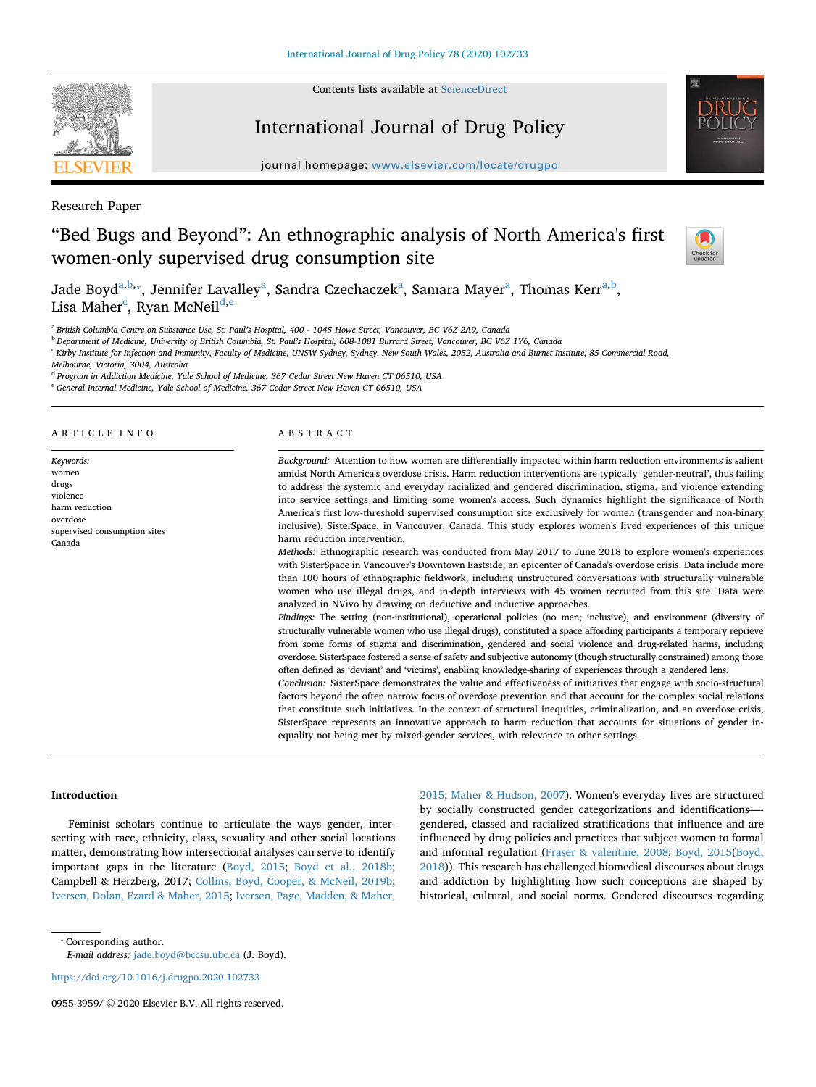Contents lists available at [ScienceDirect](http://www.sciencedirect.com/science/journal/09553959)

# International Journal of Drug Policy

journal homepage: [www.elsevier.com/locate/drugpo](https://www.elsevier.com/locate/drugpo)

Research Paper

# "Bed Bugs and Beyond": An ethnographic analysis of North America's first women-only supervised drug consumption site



J[a](#page-0-0)de Boyd<sup>a,[b](#page-0-1),</sup> $_*$ , Jennifer Lavalley<sup>a</sup>, Sandra Czechaczek<sup>a</sup>, Samara Mayer<sup>a</sup>, Thomas Kerr<sup>[a,](#page-0-0)b</sup>, Lisa Maher<sup>[c](#page-0-3)</sup>, Ryan McNeil<sup>[d,](#page-0-4)[e](#page-0-5)</sup>

<span id="page-0-0"></span><sup>a</sup> *British Columbia Centre on Substance Use, St. Paul's Hospital, 400 - 1045 Howe Street, Vancouver, BC V6Z 2A9, Canada*

<span id="page-0-1"></span><sup>b</sup> *Department of Medicine, University of British Columbia, St. Paul's Hospital, 608-1081 Burrard Street, Vancouver, BC V6Z 1Y6, Canada*

<span id="page-0-3"></span><sup>c</sup> *Kirby Institute for Infection and Immunity, Faculty of Medicine, UNSW Sydney, Sydney, New South Wales, 2052, Australia and Burnet Institute, 85 Commercial Road,*

*Melbourne, Victoria, 3004, Australia*

<span id="page-0-4"></span><sup>d</sup> *Program in Addiction Medicine, Yale School of Medicine, 367 Cedar Street New Haven CT 06510, USA*

<span id="page-0-5"></span><sup>e</sup> *General Internal Medicine, Yale School of Medicine, 367 Cedar Street New Haven CT 06510, USA*

#### ARTICLE INFO

*Keywords:* women drugs violence harm reduction overdose supervised consumption sites Canada

#### ABSTRACT

*Background:* Attention to how women are differentially impacted within harm reduction environments is salient amidst North America's overdose crisis. Harm reduction interventions are typically 'gender-neutral', thus failing to address the systemic and everyday racialized and gendered discrimination, stigma, and violence extending into service settings and limiting some women's access. Such dynamics highlight the significance of North America's first low-threshold supervised consumption site exclusively for women (transgender and non-binary inclusive), SisterSpace, in Vancouver, Canada. This study explores women's lived experiences of this unique harm reduction intervention.

*Methods:* Ethnographic research was conducted from May 2017 to June 2018 to explore women's experiences with SisterSpace in Vancouver's Downtown Eastside, an epicenter of Canada's overdose crisis. Data include more than 100 hours of ethnographic fieldwork, including unstructured conversations with structurally vulnerable women who use illegal drugs, and in-depth interviews with 45 women recruited from this site. Data were analyzed in NVivo by drawing on deductive and inductive approaches.

*Findings:* The setting (non-institutional), operational policies (no men; inclusive), and environment (diversity of structurally vulnerable women who use illegal drugs), constituted a space affording participants a temporary reprieve from some forms of stigma and discrimination, gendered and social violence and drug-related harms, including overdose. SisterSpace fostered a sense of safety and subjective autonomy (though structurally constrained) among those often defined as 'deviant' and 'victims', enabling knowledge-sharing of experiences through a gendered lens.

*Conclusion:* SisterSpace demonstrates the value and effectiveness of initiatives that engage with socio-structural factors beyond the often narrow focus of overdose prevention and that account for the complex social relations that constitute such initiatives. In the context of structural inequities, criminalization, and an overdose crisis, SisterSpace represents an innovative approach to harm reduction that accounts for situations of gender inequality not being met by mixed-gender services, with relevance to other settings.

## **Introduction**

Feminist scholars continue to articulate the ways gender, intersecting with race, ethnicity, class, sexuality and other social locations matter, demonstrating how intersectional analyses can serve to identify important gaps in the literature [\(Boyd, 2015](#page-7-0); [Boyd et al., 2018b](#page-7-1); Campbell & Herzberg, 2017; [Collins, Boyd, Cooper, & McNeil, 2019b](#page-7-2); [Iversen, Dolan, Ezard & Maher, 2015;](#page-8-0) [Iversen, Page, Madden, & Maher,](#page-8-1)

[2015;](#page-8-1) [Maher & Hudson, 2007\)](#page-8-2). Women's everyday lives are structured by socially constructed gender categorizations and identifications— gendered, classed and racialized stratifications that influence and are influenced by drug policies and practices that subject women to formal and informal regulation [\(Fraser & valentine, 2008;](#page-8-3) [Boyd, 2015\(](#page-7-0)[Boyd,](#page-7-3) [2018\)](#page-7-3)). This research has challenged biomedical discourses about drugs and addiction by highlighting how such conceptions are shaped by historical, cultural, and social norms. Gendered discourses regarding

<https://doi.org/10.1016/j.drugpo.2020.102733>

0955-3959/ © 2020 Elsevier B.V. All rights reserved.

<span id="page-0-2"></span><sup>⁎</sup> Corresponding author.

*E-mail address:* [jade.boyd@bccsu.ubc.ca](mailto:jade.boyd@bccsu.ubc.ca) (J. Boyd).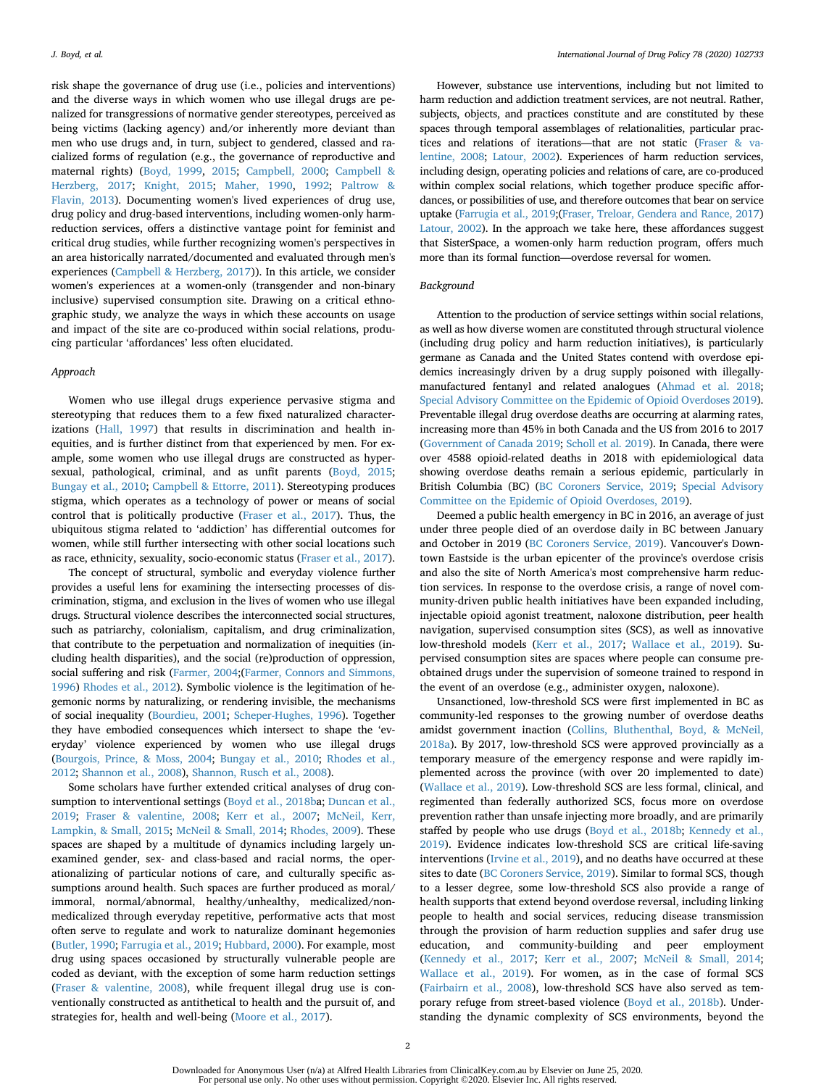risk shape the governance of drug use (i.e., policies and interventions) and the diverse ways in which women who use illegal drugs are penalized for transgressions of normative gender stereotypes, perceived as being victims (lacking agency) and/or inherently more deviant than men who use drugs and, in turn, subject to gendered, classed and racialized forms of regulation (e.g., the governance of reproductive and maternal rights) ([Boyd, 1999,](#page-7-4) [2015;](#page-7-0) [Campbell, 2000;](#page-7-5) [Campbell &](#page-7-6) [Herzberg, 2017;](#page-7-6) [Knight, 2015;](#page-8-4) [Maher, 1990,](#page-8-5) [1992](#page-8-6); [Paltrow &](#page-8-7) [Flavin, 2013\)](#page-8-7). Documenting women's lived experiences of drug use, drug policy and drug-based interventions, including women-only harmreduction services, offers a distinctive vantage point for feminist and critical drug studies, while further recognizing women's perspectives in an area historically narrated/documented and evaluated through men's experiences [\(Campbell & Herzberg, 2017](#page-7-6))). In this article, we consider women's experiences at a women-only (transgender and non-binary inclusive) supervised consumption site. Drawing on a critical ethnographic study, we analyze the ways in which these accounts on usage and impact of the site are co-produced within social relations, producing particular 'affordances' less often elucidated.

### *Approach*

Women who use illegal drugs experience pervasive stigma and stereotyping that reduces them to a few fixed naturalized characterizations ([Hall, 1997](#page-8-8)) that results in discrimination and health inequities, and is further distinct from that experienced by men. For example, some women who use illegal drugs are constructed as hypersexual, pathological, criminal, and as unfit parents ([Boyd, 2015](#page-7-0); [Bungay et al., 2010;](#page-7-7) [Campbell & Ettorre, 2011](#page-7-8)). Stereotyping produces stigma, which operates as a technology of power or means of social control that is politically productive [\(Fraser et al., 2017\)](#page-8-9). Thus, the ubiquitous stigma related to 'addiction' has differential outcomes for women, while still further intersecting with other social locations such as race, ethnicity, sexuality, socio-economic status ([Fraser et al., 2017](#page-8-9)).

The concept of structural, symbolic and everyday violence further provides a useful lens for examining the intersecting processes of discrimination, stigma, and exclusion in the lives of women who use illegal drugs. Structural violence describes the interconnected social structures, such as patriarchy, colonialism, capitalism, and drug criminalization, that contribute to the perpetuation and normalization of inequities (including health disparities), and the social (re)production of oppression, social suffering and risk [\(Farmer, 2004;](#page-8-10)([Farmer, Connors and Simmons,](#page-8-11) [1996](#page-8-11)) [Rhodes et al., 2012\)](#page-8-12). Symbolic violence is the legitimation of hegemonic norms by naturalizing, or rendering invisible, the mechanisms of social inequality [\(Bourdieu, 2001;](#page-7-9) [Scheper-Hughes, 1996](#page-8-13)). Together they have embodied consequences which intersect to shape the 'everyday' violence experienced by women who use illegal drugs ([Bourgois, Prince, & Moss, 2004;](#page-7-10) [Bungay et al., 2010;](#page-7-7) [Rhodes et al.,](#page-8-12) [2012](#page-8-12); [Shannon et al., 2008\)](#page-8-14), [Shannon, Rusch et al., 2008\)](#page-8-15).

Some scholars have further extended critical analyses of drug consumption to interventional settings [\(Boyd et al., 2018b](#page-7-1)a; [Duncan et al.,](#page-8-16) [2019;](#page-8-16) [Fraser & valentine, 2008](#page-8-3); [Kerr et al., 2007](#page-8-17); [McNeil, Kerr,](#page-8-18) [Lampkin, & Small, 2015;](#page-8-18) [McNeil & Small, 2014](#page-8-19); [Rhodes, 2009\)](#page-8-20). These spaces are shaped by a multitude of dynamics including largely unexamined gender, sex- and class-based and racial norms, the operationalizing of particular notions of care, and culturally specific assumptions around health. Such spaces are further produced as moral/ immoral, normal/abnormal, healthy/unhealthy, medicalized/nonmedicalized through everyday repetitive, performative acts that most often serve to regulate and work to naturalize dominant hegemonies ([Butler, 1990](#page-7-11); [Farrugia et al., 2019;](#page-8-21) [Hubbard, 2000\)](#page-8-22). For example, most drug using spaces occasioned by structurally vulnerable people are coded as deviant, with the exception of some harm reduction settings ([Fraser & valentine, 2008\)](#page-8-3), while frequent illegal drug use is conventionally constructed as antithetical to health and the pursuit of, and strategies for, health and well-being ([Moore et al., 2017\)](#page-8-23).

However, substance use interventions, including but not limited to harm reduction and addiction treatment services, are not neutral. Rather, subjects, objects, and practices constitute and are constituted by these spaces through temporal assemblages of relationalities, particular practices and relations of iterations—that are not static [\(Fraser & va](#page-8-3)[lentine, 2008;](#page-8-3) [Latour, 2002\)](#page-8-24). Experiences of harm reduction services, including design, operating policies and relations of care, are co-produced within complex social relations, which together produce specific affordances, or possibilities of use, and therefore outcomes that bear on service uptake [\(Farrugia et al., 2019;](#page-8-21)([Fraser, Treloar, Gendera and Rance, 2017\)](#page-8-25) [Latour, 2002\)](#page-8-24). In the approach we take here, these affordances suggest that SisterSpace, a women-only harm reduction program, offers much more than its formal function—overdose reversal for women.

## *Background*

Attention to the production of service settings within social relations, as well as how diverse women are constituted through structural violence (including drug policy and harm reduction initiatives), is particularly germane as Canada and the United States contend with overdose epidemics increasingly driven by a drug supply poisoned with illegallymanufactured fentanyl and related analogues ([Ahmad et al. 2018](#page-7-12); [Special Advisory Committee on the Epidemic of Opioid Overdoses 2019\)](#page-9-0). Preventable illegal drug overdose deaths are occurring at alarming rates, increasing more than 45% in both Canada and the US from 2016 to 2017 ([Government of Canada 2019](#page-8-26); [Scholl et al. 2019\)](#page-8-27). In Canada, there were over 4588 opioid-related deaths in 2018 with epidemiological data showing overdose deaths remain a serious epidemic, particularly in British Columbia (BC) ([BC Coroners Service, 2019;](#page-7-13) [Special Advisory](#page-9-0) [Committee on the Epidemic of Opioid Overdoses, 2019](#page-9-0)).

Deemed a public health emergency in BC in 2016, an average of just under three people died of an overdose daily in BC between January and October in 2019 [\(BC Coroners Service, 2019\)](#page-7-13). Vancouver's Downtown Eastside is the urban epicenter of the province's overdose crisis and also the site of North America's most comprehensive harm reduction services. In response to the overdose crisis, a range of novel community-driven public health initiatives have been expanded including, injectable opioid agonist treatment, naloxone distribution, peer health navigation, supervised consumption sites (SCS), as well as innovative low-threshold models ([Kerr et al., 2017;](#page-8-28) [Wallace et al., 2019](#page-9-1)). Supervised consumption sites are spaces where people can consume preobtained drugs under the supervision of someone trained to respond in the event of an overdose (e.g., administer oxygen, naloxone).

Unsanctioned, low-threshold SCS were first implemented in BC as community-led responses to the growing number of overdose deaths amidst government inaction [\(Collins, Bluthenthal, Boyd, & McNeil,](#page-7-14) [2018a\)](#page-7-14). By 2017, low-threshold SCS were approved provincially as a temporary measure of the emergency response and were rapidly implemented across the province (with over 20 implemented to date) ([Wallace et al., 2019\)](#page-9-1). Low-threshold SCS are less formal, clinical, and regimented than federally authorized SCS, focus more on overdose prevention rather than unsafe injecting more broadly, and are primarily staffed by people who use drugs ([Boyd et al., 2018b;](#page-7-1) [Kennedy et al.,](#page-8-29) [2019\)](#page-8-29). Evidence indicates low-threshold SCS are critical life-saving interventions [\(Irvine et al., 2019](#page-8-30)), and no deaths have occurred at these sites to date [\(BC Coroners Service, 2019](#page-7-13)). Similar to formal SCS, though to a lesser degree, some low-threshold SCS also provide a range of health supports that extend beyond overdose reversal, including linking people to health and social services, reducing disease transmission through the provision of harm reduction supplies and safer drug use education, and community-building and peer employment ([Kennedy et al., 2017](#page-8-31); [Kerr et al., 2007;](#page-8-17) [McNeil & Small, 2014](#page-8-19); [Wallace et al., 2019\)](#page-9-1). For women, as in the case of formal SCS ([Fairbairn et al., 2008](#page-8-32)), low-threshold SCS have also served as temporary refuge from street-based violence [\(Boyd et al., 2018b](#page-7-1)). Understanding the dynamic complexity of SCS environments, beyond the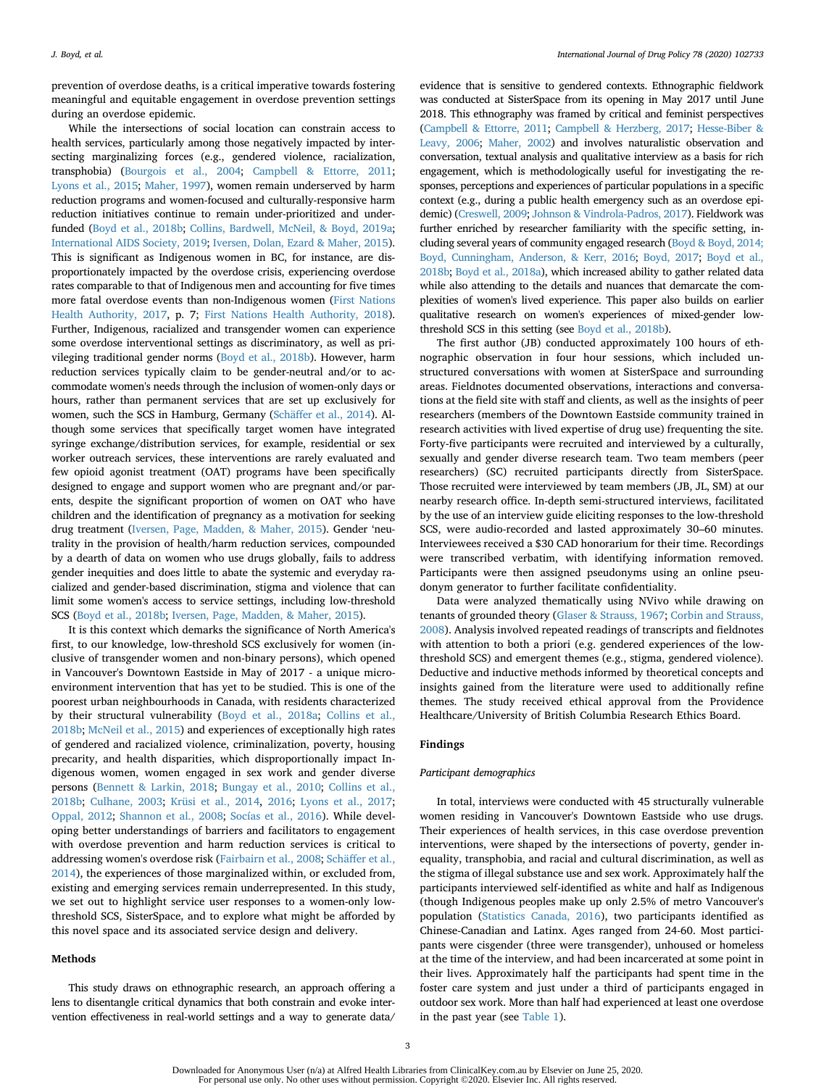prevention of overdose deaths, is a critical imperative towards fostering meaningful and equitable engagement in overdose prevention settings during an overdose epidemic.

While the intersections of social location can constrain access to health services, particularly among those negatively impacted by intersecting marginalizing forces (e.g., gendered violence, racialization, transphobia) [\(Bourgois et al., 2004;](#page-7-10) [Campbell & Ettorre, 2011](#page-7-8); [Lyons et al., 2015;](#page-8-33) [Maher, 1997\)](#page-8-34), women remain underserved by harm reduction programs and women-focused and culturally-responsive harm reduction initiatives continue to remain under-prioritized and underfunded ([Boyd et al., 2018b;](#page-7-1) [Collins, Bardwell, McNeil, & Boyd, 2019a](#page-7-15); [International AIDS Society, 2019](#page-8-35); [Iversen, Dolan, Ezard & Maher, 2015\)](#page-8-0). This is significant as Indigenous women in BC, for instance, are disproportionately impacted by the overdose crisis, experiencing overdose rates comparable to that of Indigenous men and accounting for five times more fatal overdose events than non-Indigenous women ([First Nations](#page-8-36) [Health Authority, 2017,](#page-8-36) p. 7; [First Nations Health Authority, 2018\)](#page-8-37). Further, Indigenous, racialized and transgender women can experience some overdose interventional settings as discriminatory, as well as privileging traditional gender norms [\(Boyd et al., 2018b](#page-7-1)). However, harm reduction services typically claim to be gender-neutral and/or to accommodate women's needs through the inclusion of women-only days or hours, rather than permanent services that are set up exclusively for women, such the SCS in Hamburg, Germany ([Schäffer et al., 2014\)](#page-8-38). Although some services that specifically target women have integrated syringe exchange/distribution services, for example, residential or sex worker outreach services, these interventions are rarely evaluated and few opioid agonist treatment (OAT) programs have been specifically designed to engage and support women who are pregnant and/or parents, despite the significant proportion of women on OAT who have children and the identification of pregnancy as a motivation for seeking drug treatment [\(Iversen, Page, Madden, & Maher, 2015](#page-8-1)). Gender 'neutrality in the provision of health/harm reduction services, compounded by a dearth of data on women who use drugs globally, fails to address gender inequities and does little to abate the systemic and everyday racialized and gender-based discrimination, stigma and violence that can limit some women's access to service settings, including low-threshold SCS [\(Boyd et al., 2018b;](#page-7-1) [Iversen, Page, Madden, & Maher, 2015](#page-8-1)).

It is this context which demarks the significance of North America's first, to our knowledge, low-threshold SCS exclusively for women (inclusive of transgender women and non-binary persons), which opened in Vancouver's Downtown Eastside in May of 2017 - a unique microenvironment intervention that has yet to be studied. This is one of the poorest urban neighbourhoods in Canada, with residents characterized by their structural vulnerability [\(Boyd et al., 2018a](#page-7-16); [Collins et al.,](#page-7-17) [2018b;](#page-7-17) [McNeil et al., 2015\)](#page-8-18) and experiences of exceptionally high rates of gendered and racialized violence, criminalization, poverty, housing precarity, and health disparities, which disproportionally impact Indigenous women, women engaged in sex work and gender diverse persons ([Bennett & Larkin, 2018;](#page-7-18) [Bungay et al., 2010](#page-7-7); [Collins et al.,](#page-7-17) [2018b;](#page-7-17) [Culhane, 2003;](#page-8-39) [Krüsi et al., 2014,](#page-8-40) [2016](#page-8-41); [Lyons et al., 2017](#page-8-42); [Oppal, 2012](#page-8-43); [Shannon et al., 2008;](#page-8-15) [Socías et al., 2016](#page-9-2)). While developing better understandings of barriers and facilitators to engagement with overdose prevention and harm reduction services is critical to addressing women's overdose risk ([Fairbairn et al., 2008](#page-8-32); [Schäffer et al.,](#page-8-38) [2014\)](#page-8-38), the experiences of those marginalized within, or excluded from, existing and emerging services remain underrepresented. In this study, we set out to highlight service user responses to a women-only lowthreshold SCS, SisterSpace, and to explore what might be afforded by this novel space and its associated service design and delivery.

### **Methods**

This study draws on ethnographic research, an approach offering a lens to disentangle critical dynamics that both constrain and evoke intervention effectiveness in real-world settings and a way to generate data/

evidence that is sensitive to gendered contexts. Ethnographic fieldwork was conducted at SisterSpace from its opening in May 2017 until June 2018. This ethnography was framed by critical and feminist perspectives [\(Campbell & Ettorre, 2011;](#page-7-8) [Campbell & Herzberg, 2017;](#page-7-6) [Hesse-Biber &](#page-8-44) [Leavy, 2006](#page-8-44); [Maher, 2002](#page-8-45)) and involves naturalistic observation and conversation, textual analysis and qualitative interview as a basis for rich engagement, which is methodologically useful for investigating the responses, perceptions and experiences of particular populations in a specific context (e.g., during a public health emergency such as an overdose epidemic) ([Creswell, 2009;](#page-8-46) [Johnson & Vindrola-Padros, 2017\)](#page-8-47). Fieldwork was further enriched by researcher familiarity with the specific setting, including several years of community engaged research ([Boyd & Boyd, 2014;](#page-7-19) [Boyd, Cunningham, Anderson, & Kerr, 2016](#page-7-19); [Boyd, 2017](#page-7-20); [Boyd et al.,](#page-7-1) [2018b](#page-7-1); [Boyd et al., 2018a\)](#page-7-16), which increased ability to gather related data while also attending to the details and nuances that demarcate the complexities of women's lived experience. This paper also builds on earlier qualitative research on women's experiences of mixed-gender lowthreshold SCS in this setting (see [Boyd et al., 2018b](#page-7-1)).

The first author (JB) conducted approximately 100 hours of ethnographic observation in four hour sessions, which included unstructured conversations with women at SisterSpace and surrounding areas. Fieldnotes documented observations, interactions and conversations at the field site with staff and clients, as well as the insights of peer researchers (members of the Downtown Eastside community trained in research activities with lived expertise of drug use) frequenting the site. Forty-five participants were recruited and interviewed by a culturally, sexually and gender diverse research team. Two team members (peer researchers) (SC) recruited participants directly from SisterSpace. Those recruited were interviewed by team members (JB, JL, SM) at our nearby research office. In-depth semi-structured interviews, facilitated by the use of an interview guide eliciting responses to the low-threshold SCS, were audio-recorded and lasted approximately 30–60 minutes. Interviewees received a \$30 CAD honorarium for their time. Recordings were transcribed verbatim, with identifying information removed. Participants were then assigned pseudonyms using an online pseudonym generator to further facilitate confidentiality.

Data were analyzed thematically using NVivo while drawing on tenants of grounded theory ([Glaser & Strauss, 1967](#page-8-48); [Corbin and Strauss,](#page-7-21) [2008\)](#page-7-21). Analysis involved repeated readings of transcripts and fieldnotes with attention to both a priori (e.g. gendered experiences of the lowthreshold SCS) and emergent themes (e.g., stigma, gendered violence). Deductive and inductive methods informed by theoretical concepts and insights gained from the literature were used to additionally refine themes. The study received ethical approval from the Providence Healthcare/University of British Columbia Research Ethics Board.

#### **Findings**

### *Participant demographics*

In total, interviews were conducted with 45 structurally vulnerable women residing in Vancouver's Downtown Eastside who use drugs. Their experiences of health services, in this case overdose prevention interventions, were shaped by the intersections of poverty, gender inequality, transphobia, and racial and cultural discrimination, as well as the stigma of illegal substance use and sex work. Approximately half the participants interviewed self-identified as white and half as Indigenous (though Indigenous peoples make up only 2.5% of metro Vancouver's population [\(Statistics Canada, 2016\)](#page-9-3), two participants identified as Chinese-Canadian and Latinx. Ages ranged from 24-60. Most participants were cisgender (three were transgender), unhoused or homeless at the time of the interview, and had been incarcerated at some point in their lives. Approximately half the participants had spent time in the foster care system and just under a third of participants engaged in outdoor sex work. More than half had experienced at least one overdose in the past year (see [Table 1](#page-3-0)).

Downloaded for Anonymous User (n/a) at Alfred Health Libraries from ClinicalKey.com.au by Elsevier on June 25, 2020. For personal use only. No other uses without permission. Copyright ©2020. Elsevier Inc. All rights reserved.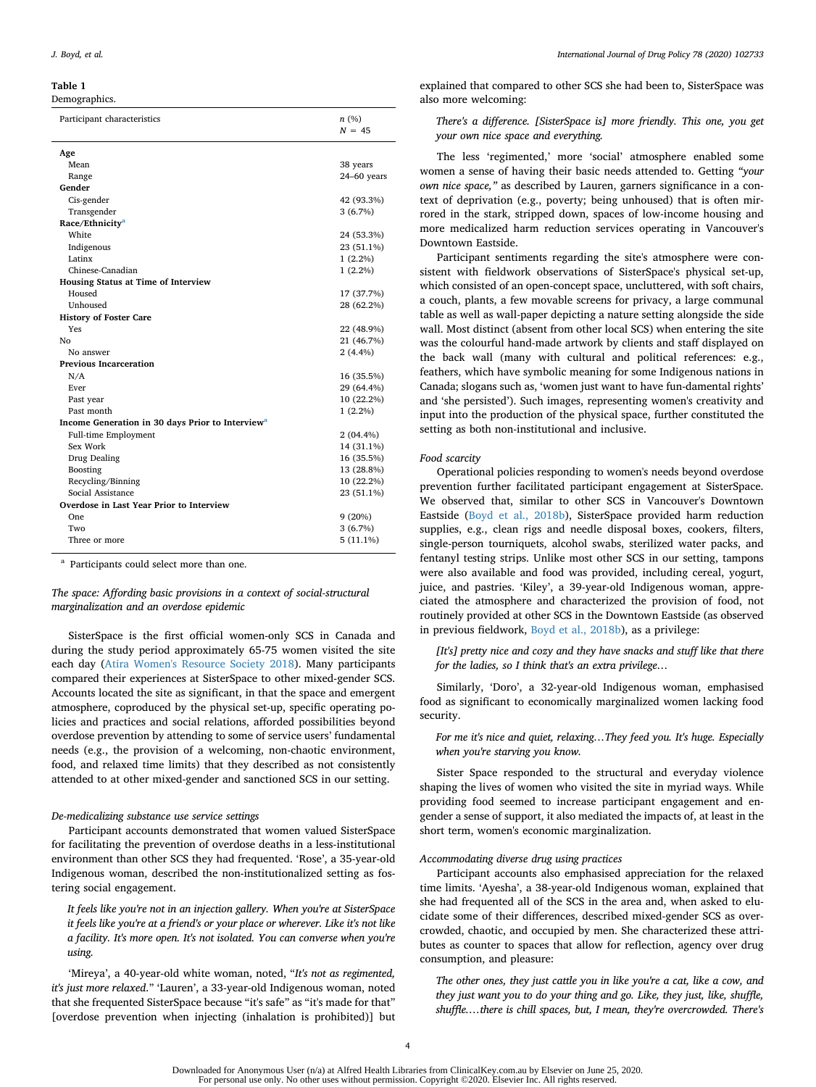Demographics.

## <span id="page-3-0"></span>**Table 1**

| Participant characteristics                                  | n(%)<br>$N = 45$ |
|--------------------------------------------------------------|------------------|
| Age                                                          |                  |
| Mean                                                         | 38 years         |
| Range                                                        | $24-60$ years    |
| Gender                                                       |                  |
| Cis-gender                                                   | 42 (93.3%)       |
| Transgender                                                  | 3(6.7%)          |
| Race/Ethnicity <sup>a</sup>                                  |                  |
| <b>White</b>                                                 | 24 (53.3%)       |
| Indigenous                                                   | 23 (51.1%)       |
| Latinx                                                       | $1(2.2\%)$       |
| Chinese-Canadian                                             | $1(2.2\%)$       |
| Housing Status at Time of Interview                          |                  |
| Housed                                                       | 17 (37.7%)       |
| Unhoused                                                     | 28 (62.2%)       |
| <b>History of Foster Care</b>                                |                  |
| Yes                                                          | 22 (48.9%)       |
| Nο                                                           | 21 (46.7%)       |
| No answer                                                    | 2(4.4%)          |
| <b>Previous Incarceration</b>                                |                  |
| N/A                                                          | 16 (35.5%)       |
| Ever                                                         | 29 (64.4%)       |
| Past year                                                    | 10 (22.2%)       |
| Past month                                                   | $1(2.2\%)$       |
| Income Generation in 30 days Prior to Interview <sup>a</sup> |                  |
| Full-time Employment                                         | $2(04.4\%)$      |
| Sex Work                                                     | 14 (31.1%)       |
| Drug Dealing                                                 | 16 (35.5%)       |
| Boosting                                                     | 13 (28.8%)       |
| Recycling/Binning                                            | 10 (22.2%)       |
| Social Assistance                                            | 23 (51.1%)       |
| Overdose in Last Year Prior to Interview                     |                  |
| One.                                                         | 9(20%)           |
| Two                                                          | 3(6.7%)          |
| Three or more                                                | $5(11.1\%)$      |

<span id="page-3-1"></span><sup>a</sup> Participants could select more than one.

*The space: Affording basic provisions in a context of social-structural marginalization and an overdose epidemic*

SisterSpace is the first official women-only SCS in Canada and during the study period approximately 65-75 women visited the site each day ([Atira Women's Resource Society 2018\)](#page-7-22). Many participants compared their experiences at SisterSpace to other mixed-gender SCS. Accounts located the site as significant, in that the space and emergent atmosphere, coproduced by the physical set-up, specific operating policies and practices and social relations, afforded possibilities beyond overdose prevention by attending to some of service users' fundamental needs (e.g., the provision of a welcoming, non-chaotic environment, food, and relaxed time limits) that they described as not consistently attended to at other mixed-gender and sanctioned SCS in our setting.

## *De-medicalizing substance use service settings*

Participant accounts demonstrated that women valued SisterSpace for facilitating the prevention of overdose deaths in a less-institutional environment than other SCS they had frequented. 'Rose', a 35-year-old Indigenous woman, described the non-institutionalized setting as fostering social engagement.

*It feels like you're not in an injection gallery. When you're at SisterSpace it feels like you're at a friend's or your place or wherever. Like it's not like a facility. It's more open. It's not isolated. You can converse when you're using.*

'Mireya', a 40-year-old white woman, noted, "*It's not as regimented, it's just more relaxed*." 'Lauren', a 33-year-old Indigenous woman, noted that she frequented SisterSpace because "it's safe" as "it's made for that" [overdose prevention when injecting (inhalation is prohibited)] but

explained that compared to other SCS she had been to, SisterSpace was also more welcoming:

*There's a difference. [SisterSpace is] more friendly. This one, you get your own nice space and everything.*

The less 'regimented,' more 'social' atmosphere enabled some women a sense of having their basic needs attended to. Getting *"your own nice space,"* as described by Lauren, garners significance in a context of deprivation (e.g., poverty; being unhoused) that is often mirrored in the stark, stripped down, spaces of low-income housing and more medicalized harm reduction services operating in Vancouver's Downtown Eastside.

Participant sentiments regarding the site's atmosphere were consistent with fieldwork observations of SisterSpace's physical set-up, which consisted of an open-concept space, uncluttered, with soft chairs, a couch, plants, a few movable screens for privacy, a large communal table as well as wall-paper depicting a nature setting alongside the side wall. Most distinct (absent from other local SCS) when entering the site was the colourful hand-made artwork by clients and staff displayed on the back wall (many with cultural and political references: e.g., feathers, which have symbolic meaning for some Indigenous nations in Canada; slogans such as, 'women just want to have fun-damental rights' and 'she persisted'). Such images, representing women's creativity and input into the production of the physical space, further constituted the setting as both non-institutional and inclusive.

## *Food scarcity*

Operational policies responding to women's needs beyond overdose prevention further facilitated participant engagement at SisterSpace. We observed that, similar to other SCS in Vancouver's Downtown Eastside [\(Boyd et al., 2018b](#page-7-1)), SisterSpace provided harm reduction supplies, e.g., clean rigs and needle disposal boxes, cookers, filters, single-person tourniquets, alcohol swabs, sterilized water packs, and fentanyl testing strips. Unlike most other SCS in our setting, tampons were also available and food was provided, including cereal, yogurt, juice, and pastries. 'Kiley', a 39-year-old Indigenous woman, appreciated the atmosphere and characterized the provision of food, not routinely provided at other SCS in the Downtown Eastside (as observed in previous fieldwork, [Boyd et al., 2018b](#page-7-1)), as a privilege:

*[It's] pretty nice and cozy and they have snacks and stuff like that there for the ladies, so I think that's an extra privilege…*

Similarly, 'Doro', a 32-year-old Indigenous woman, emphasised food as significant to economically marginalized women lacking food security.

*For me it's nice and quiet, relaxing…They feed you. It's huge. Especially when you're starving you know.*

Sister Space responded to the structural and everyday violence shaping the lives of women who visited the site in myriad ways. While providing food seemed to increase participant engagement and engender a sense of support, it also mediated the impacts of, at least in the short term, women's economic marginalization.

#### *Accommodating diverse drug using practices*

Participant accounts also emphasised appreciation for the relaxed time limits. 'Ayesha', a 38-year-old Indigenous woman, explained that she had frequented all of the SCS in the area and, when asked to elucidate some of their differences, described mixed-gender SCS as overcrowded, chaotic, and occupied by men. She characterized these attributes as counter to spaces that allow for reflection, agency over drug consumption, and pleasure:

*The other ones, they just cattle you in like you're a cat, like a cow, and they just want you to do your thing and go. Like, they just, like, shuffle, shuffle.…there is chill spaces, but, I mean, they're overcrowded. There's*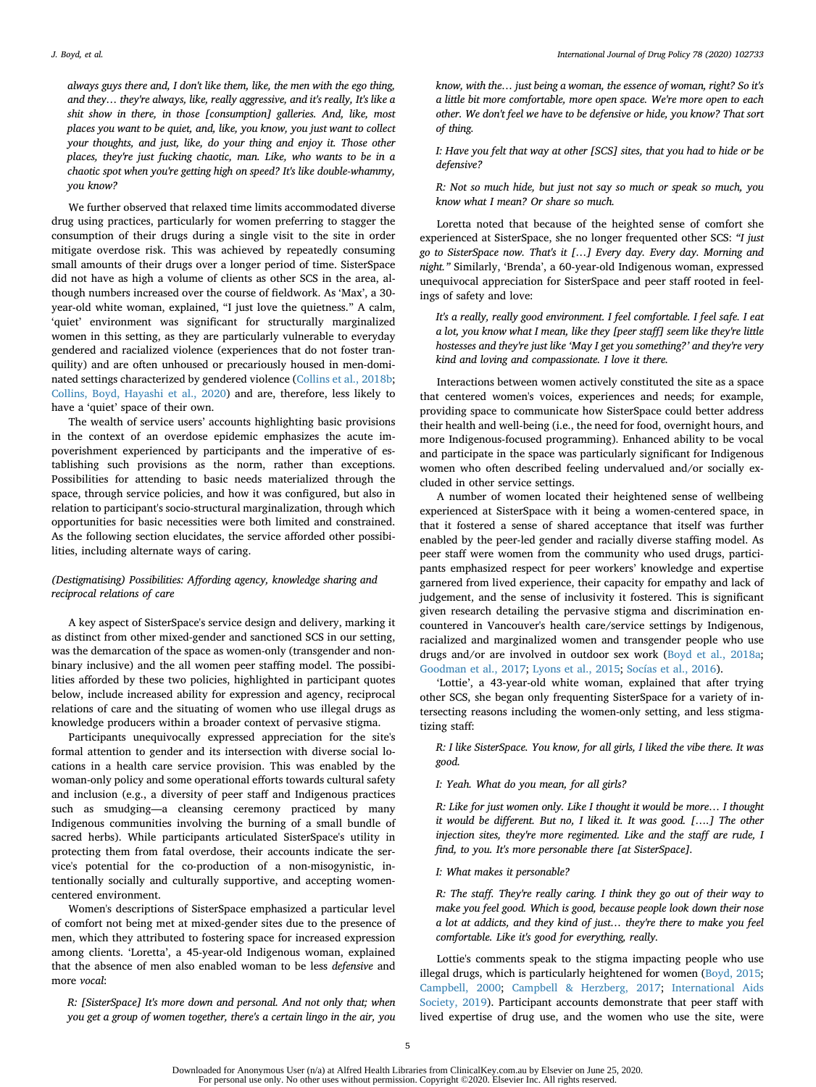*always guys there and, I don't like them, like, the men with the ego thing, and they… they're always, like, really aggressive, and it's really, It's like a shit show in there, in those [consumption] galleries. And, like, most places you want to be quiet, and, like, you know, you just want to collect your thoughts, and just, like, do your thing and enjoy it. Those other places, they're just fucking chaotic, man. Like, who wants to be in a chaotic spot when you're getting high on speed? It's like double-whammy, you know?*

We further observed that relaxed time limits accommodated diverse drug using practices, particularly for women preferring to stagger the consumption of their drugs during a single visit to the site in order mitigate overdose risk. This was achieved by repeatedly consuming small amounts of their drugs over a longer period of time. SisterSpace did not have as high a volume of clients as other SCS in the area, although numbers increased over the course of fieldwork. As 'Max', a 30 year-old white woman, explained, "I just love the quietness." A calm, 'quiet' environment was significant for structurally marginalized women in this setting, as they are particularly vulnerable to everyday gendered and racialized violence (experiences that do not foster tranquility) and are often unhoused or precariously housed in men-dominated settings characterized by gendered violence ([Collins et al., 2018b](#page-7-17); [Collins, Boyd, Hayashi et al., 2020](#page-7-23)) and are, therefore, less likely to have a 'quiet' space of their own.

The wealth of service users' accounts highlighting basic provisions in the context of an overdose epidemic emphasizes the acute impoverishment experienced by participants and the imperative of establishing such provisions as the norm, rather than exceptions. Possibilities for attending to basic needs materialized through the space, through service policies, and how it was configured, but also in relation to participant's socio-structural marginalization, through which opportunities for basic necessities were both limited and constrained. As the following section elucidates, the service afforded other possibilities, including alternate ways of caring.

# *(Destigmatising) Possibilities: Affording agency, knowledge sharing and reciprocal relations of care*

A key aspect of SisterSpace's service design and delivery, marking it as distinct from other mixed-gender and sanctioned SCS in our setting, was the demarcation of the space as women-only (transgender and nonbinary inclusive) and the all women peer staffing model. The possibilities afforded by these two policies, highlighted in participant quotes below, include increased ability for expression and agency, reciprocal relations of care and the situating of women who use illegal drugs as knowledge producers within a broader context of pervasive stigma.

Participants unequivocally expressed appreciation for the site's formal attention to gender and its intersection with diverse social locations in a health care service provision. This was enabled by the woman-only policy and some operational efforts towards cultural safety and inclusion (e.g., a diversity of peer staff and Indigenous practices such as smudging—a cleansing ceremony practiced by many Indigenous communities involving the burning of a small bundle of sacred herbs). While participants articulated SisterSpace's utility in protecting them from fatal overdose, their accounts indicate the service's potential for the co-production of a non-misogynistic, intentionally socially and culturally supportive, and accepting womencentered environment.

Women's descriptions of SisterSpace emphasized a particular level of comfort not being met at mixed-gender sites due to the presence of men, which they attributed to fostering space for increased expression among clients. 'Loretta', a 45-year-old Indigenous woman, explained that the absence of men also enabled woman to be less *defensive* and more *vocal*:

*R: [SisterSpace] It's more down and personal. And not only that; when you get a group of women together, there's a certain lingo in the air, you* *know, with the… just being a woman, the essence of woman, right? So it's a little bit more comfortable, more open space. We're more open to each other. We don't feel we have to be defensive or hide, you know? That sort of thing.*

*I: Have you felt that way at other [SCS] sites, that you had to hide or be defensive?*

*R: Not so much hide, but just not say so much or speak so much, you know what I mean? Or share so much.*

Loretta noted that because of the heighted sense of comfort she experienced at SisterSpace, she no longer frequented other SCS: *"I just go to SisterSpace now. That's it […] Every day. Every day. Morning and night."* Similarly, 'Brenda', a 60-year-old Indigenous woman, expressed unequivocal appreciation for SisterSpace and peer staff rooted in feelings of safety and love:

*It's a really, really good environment. I feel comfortable. I feel safe. I eat a lot, you know what I mean, like they [peer staff] seem like they're little hostesses and they're just like 'May I get you something?' and they're very kind and loving and compassionate. I love it there.*

Interactions between women actively constituted the site as a space that centered women's voices, experiences and needs; for example, providing space to communicate how SisterSpace could better address their health and well-being (i.e., the need for food, overnight hours, and more Indigenous-focused programming). Enhanced ability to be vocal and participate in the space was particularly significant for Indigenous women who often described feeling undervalued and/or socially excluded in other service settings.

A number of women located their heightened sense of wellbeing experienced at SisterSpace with it being a women-centered space, in that it fostered a sense of shared acceptance that itself was further enabled by the peer-led gender and racially diverse staffing model. As peer staff were women from the community who used drugs, participants emphasized respect for peer workers' knowledge and expertise garnered from lived experience, their capacity for empathy and lack of judgement, and the sense of inclusivity it fostered. This is significant given research detailing the pervasive stigma and discrimination encountered in Vancouver's health care/service settings by Indigenous, racialized and marginalized women and transgender people who use drugs and/or are involved in outdoor sex work [\(Boyd et al., 2018a](#page-7-16); [Goodman et al., 2017](#page-8-49); [Lyons et al., 2015;](#page-8-33) [Socías et al., 2016\)](#page-9-2).

'Lottie', a 43-year-old white woman, explained that after trying other SCS, she began only frequenting SisterSpace for a variety of intersecting reasons including the women-only setting, and less stigmatizing staff:

*R: I like SisterSpace. You know, for all girls, I liked the vibe there. It was good.*

*I: Yeah. What do you mean, for all girls?*

*R: Like for just women only. Like I thought it would be more… I thought it would be different. But no, I liked it. It was good. [….] The other injection sites, they're more regimented. Like and the staff are rude, I find, to you. It's more personable there [at SisterSpace].*

*I: What makes it personable?*

*R: The staff. They're really caring. I think they go out of their way to make you feel good. Which is good, because people look down their nose a lot at addicts, and they kind of just… they're there to make you feel comfortable. Like it's good for everything, really.*

Lottie's comments speak to the stigma impacting people who use illegal drugs, which is particularly heightened for women [\(Boyd, 2015](#page-7-0); [Campbell, 2000;](#page-7-5) [Campbell & Herzberg, 2017;](#page-7-6) [International Aids](#page-8-35) [Society, 2019\)](#page-8-35). Participant accounts demonstrate that peer staff with lived expertise of drug use, and the women who use the site, were

Downloaded for Anonymous User (n/a) at Alfred Health Libraries from ClinicalKey.com.au by Elsevier on June 25, 2020. For personal use only. No other uses without permission. Copyright ©2020. Elsevier Inc. All rights reserved.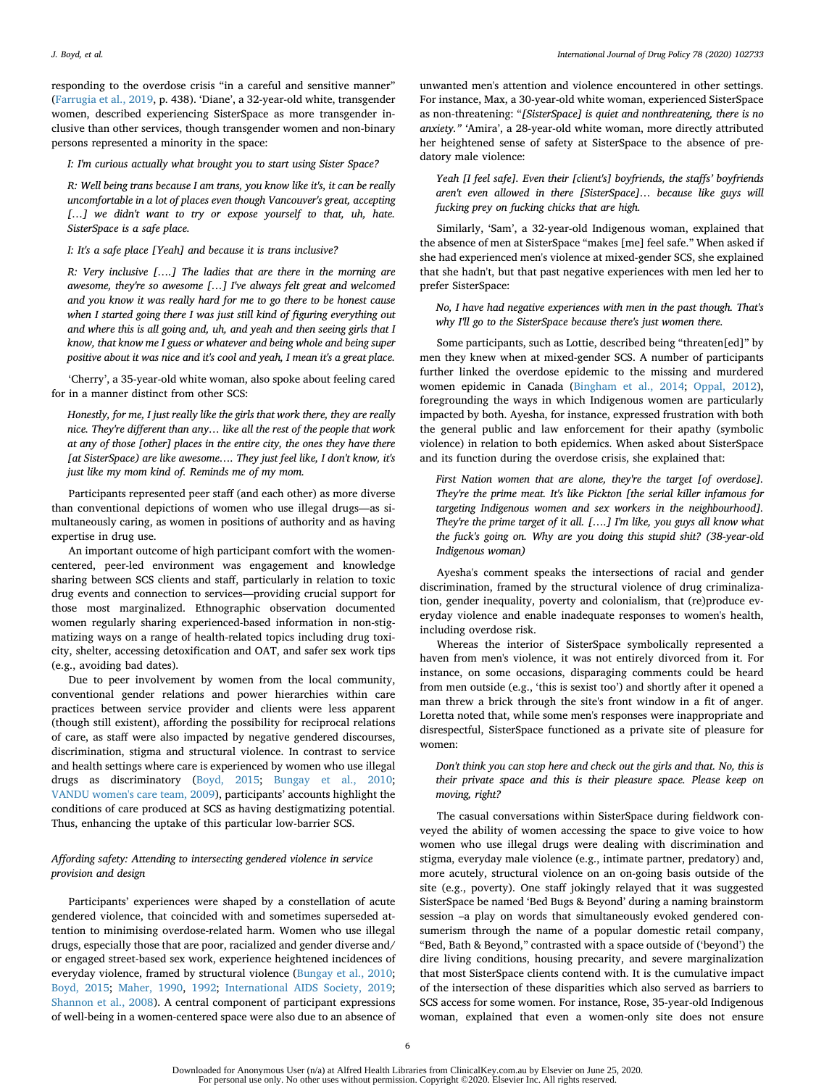responding to the overdose crisis "in a careful and sensitive manner" ([Farrugia et al., 2019,](#page-8-21) p. 438). 'Diane', a 32-year-old white, transgender women, described experiencing SisterSpace as more transgender inclusive than other services, though transgender women and non-binary persons represented a minority in the space:

*I: I'm curious actually what brought you to start using Sister Space?*

*R: Well being trans because I am trans, you know like it's, it can be really uncomfortable in a lot of places even though Vancouver's great, accepting […] we didn't want to try or expose yourself to that, uh, hate. SisterSpace is a safe place.*

*I: It's a safe place [Yeah] and because it is trans inclusive?*

*R: Very inclusive [….] The ladies that are there in the morning are awesome, they're so awesome […] I've always felt great and welcomed and you know it was really hard for me to go there to be honest cause when I started going there I was just still kind of figuring everything out and where this is all going and, uh, and yeah and then seeing girls that I know, that know me I guess or whatever and being whole and being super positive about it was nice and it's cool and yeah, I mean it's a great place.*

'Cherry', a 35-year-old white woman, also spoke about feeling cared for in a manner distinct from other SCS:

*Honestly, for me, I just really like the girls that work there, they are really nice. They're different than any… like all the rest of the people that work at any of those [other] places in the entire city, the ones they have there [at SisterSpace) are like awesome…. They just feel like, I don't know, it's just like my mom kind of. Reminds me of my mom.*

Participants represented peer staff (and each other) as more diverse than conventional depictions of women who use illegal drugs—as simultaneously caring, as women in positions of authority and as having expertise in drug use.

An important outcome of high participant comfort with the womencentered, peer-led environment was engagement and knowledge sharing between SCS clients and staff, particularly in relation to toxic drug events and connection to services—providing crucial support for those most marginalized. Ethnographic observation documented women regularly sharing experienced-based information in non-stigmatizing ways on a range of health-related topics including drug toxicity, shelter, accessing detoxification and OAT, and safer sex work tips (e.g., avoiding bad dates).

Due to peer involvement by women from the local community, conventional gender relations and power hierarchies within care practices between service provider and clients were less apparent (though still existent), affording the possibility for reciprocal relations of care, as staff were also impacted by negative gendered discourses, discrimination, stigma and structural violence. In contrast to service and health settings where care is experienced by women who use illegal drugs as discriminatory [\(Boyd, 2015;](#page-7-0) [Bungay et al., 2010](#page-7-7); [VANDU women's care team, 2009\)](#page-9-4), participants' accounts highlight the conditions of care produced at SCS as having destigmatizing potential. Thus, enhancing the uptake of this particular low-barrier SCS.

# *Affording safety: Attending to intersecting gendered violence in service provision and design*

Participants' experiences were shaped by a constellation of acute gendered violence, that coincided with and sometimes superseded attention to minimising overdose-related harm. Women who use illegal drugs, especially those that are poor, racialized and gender diverse and/ or engaged street-based sex work, experience heightened incidences of everyday violence, framed by structural violence ([Bungay et al., 2010](#page-7-7); [Boyd, 2015;](#page-7-0) [Maher, 1990,](#page-8-5) [1992;](#page-8-6) [International AIDS Society, 2019](#page-8-35); [Shannon et al., 2008](#page-8-15)). A central component of participant expressions of well-being in a women-centered space were also due to an absence of

unwanted men's attention and violence encountered in other settings. For instance, Max, a 30-year-old white woman, experienced SisterSpace as non-threatening: "*[SisterSpace] is quiet and nonthreatening, there is no anxiety." '*Amira', a 28-year-old white woman, more directly attributed her heightened sense of safety at SisterSpace to the absence of predatory male violence:

*Yeah [I feel safe]. Even their [client's] boyfriends, the staffs' boyfriends aren't even allowed in there [SisterSpace]… because like guys will fucking prey on fucking chicks that are high.*

Similarly, 'Sam', a 32-year-old Indigenous woman, explained that the absence of men at SisterSpace "makes [me] feel safe." When asked if she had experienced men's violence at mixed-gender SCS, she explained that she hadn't, but that past negative experiences with men led her to prefer SisterSpace:

*No, I have had negative experiences with men in the past though. That's why I'll go to the SisterSpace because there's just women there.*

Some participants, such as Lottie, described being "threaten[ed]" by men they knew when at mixed-gender SCS. A number of participants further linked the overdose epidemic to the missing and murdered women epidemic in Canada [\(Bingham et al., 2014;](#page-7-24) [Oppal, 2012](#page-8-43)), foregrounding the ways in which Indigenous women are particularly impacted by both. Ayesha, for instance, expressed frustration with both the general public and law enforcement for their apathy (symbolic violence) in relation to both epidemics. When asked about SisterSpace and its function during the overdose crisis, she explained that:

*First Nation women that are alone, they're the target [of overdose]. They're the prime meat. It's like Pickton [the serial killer infamous for targeting Indigenous women and sex workers in the neighbourhood]. They're the prime target of it all. [….] I'm like, you guys all know what the fuck's going on. Why are you doing this stupid shit? (38-year-old Indigenous woman)*

Ayesha's comment speaks the intersections of racial and gender discrimination, framed by the structural violence of drug criminalization, gender inequality, poverty and colonialism, that (re)produce everyday violence and enable inadequate responses to women's health, including overdose risk.

Whereas the interior of SisterSpace symbolically represented a haven from men's violence, it was not entirely divorced from it. For instance, on some occasions, disparaging comments could be heard from men outside (e.g., 'this is sexist too') and shortly after it opened a man threw a brick through the site's front window in a fit of anger. Loretta noted that, while some men's responses were inappropriate and disrespectful, SisterSpace functioned as a private site of pleasure for women:

*Don't think you can stop here and check out the girls and that. No, this is their private space and this is their pleasure space. Please keep on moving, right?*

The casual conversations within SisterSpace during fieldwork conveyed the ability of women accessing the space to give voice to how women who use illegal drugs were dealing with discrimination and stigma, everyday male violence (e.g., intimate partner, predatory) and, more acutely, structural violence on an on-going basis outside of the site (e.g., poverty). One staff jokingly relayed that it was suggested SisterSpace be named 'Bed Bugs & Beyond' during a naming brainstorm session –a play on words that simultaneously evoked gendered consumerism through the name of a popular domestic retail company, "Bed, Bath & Beyond," contrasted with a space outside of ('beyond') the dire living conditions, housing precarity, and severe marginalization that most SisterSpace clients contend with. It is the cumulative impact of the intersection of these disparities which also served as barriers to SCS access for some women. For instance, Rose, 35-year-old Indigenous woman, explained that even a women-only site does not ensure

Downloaded for Anonymous User (n/a) at Alfred Health Libraries from ClinicalKey.com.au by Elsevier on June 25, 2020. For personal use only. No other uses without permission. Copyright ©2020. Elsevier Inc. All rights reserved.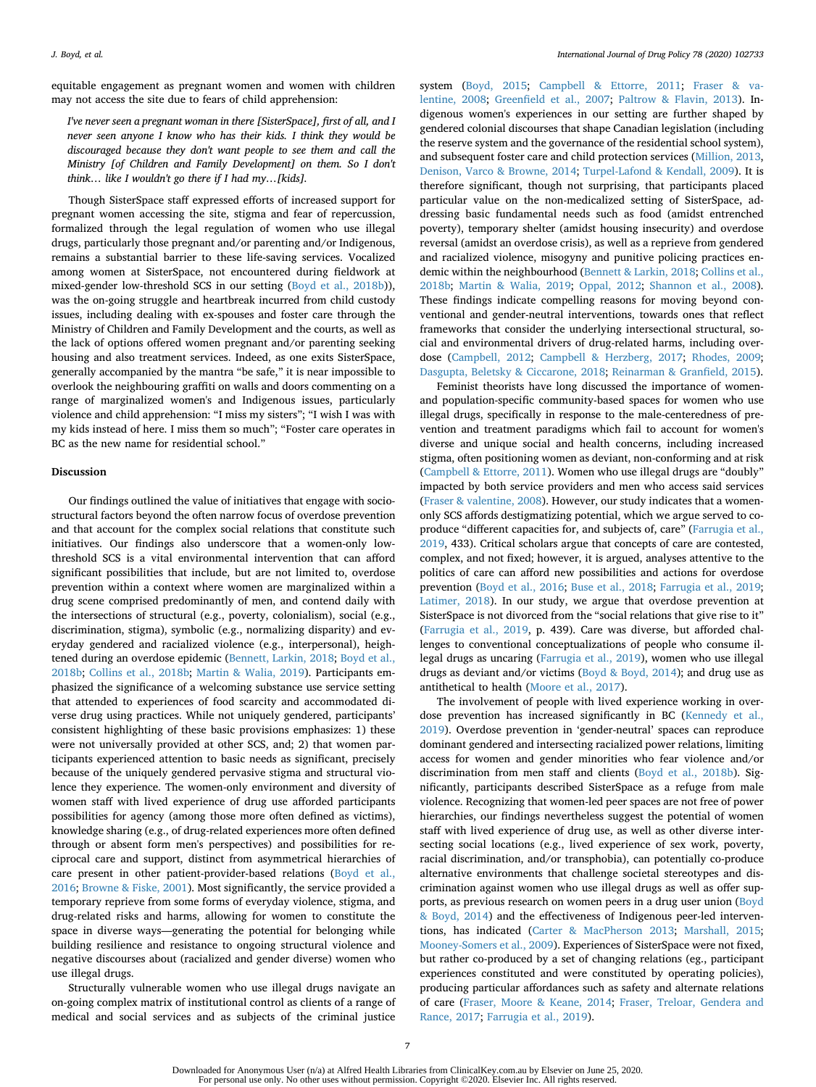equitable engagement as pregnant women and women with children may not access the site due to fears of child apprehension:

*I've never seen a pregnant woman in there [SisterSpace], first of all, and I never seen anyone I know who has their kids. I think they would be discouraged because they don't want people to see them and call the Ministry [of Children and Family Development] on them. So I don't think… like I wouldn't go there if I had my…[kids].*

Though SisterSpace staff expressed efforts of increased support for pregnant women accessing the site, stigma and fear of repercussion, formalized through the legal regulation of women who use illegal drugs, particularly those pregnant and/or parenting and/or Indigenous, remains a substantial barrier to these life-saving services. Vocalized among women at SisterSpace, not encountered during fieldwork at mixed-gender low-threshold SCS in our setting ([Boyd et al., 2018b](#page-7-1))), was the on-going struggle and heartbreak incurred from child custody issues, including dealing with ex-spouses and foster care through the Ministry of Children and Family Development and the courts, as well as the lack of options offered women pregnant and/or parenting seeking housing and also treatment services. Indeed, as one exits SisterSpace, generally accompanied by the mantra "be safe," it is near impossible to overlook the neighbouring graffiti on walls and doors commenting on a range of marginalized women's and Indigenous issues, particularly violence and child apprehension: "I miss my sisters"; "I wish I was with my kids instead of here. I miss them so much"; "Foster care operates in BC as the new name for residential school."

### **Discussion**

Our findings outlined the value of initiatives that engage with sociostructural factors beyond the often narrow focus of overdose prevention and that account for the complex social relations that constitute such initiatives. Our findings also underscore that a women-only lowthreshold SCS is a vital environmental intervention that can afford significant possibilities that include, but are not limited to, overdose prevention within a context where women are marginalized within a drug scene comprised predominantly of men, and contend daily with the intersections of structural (e.g., poverty, colonialism), social (e.g., discrimination, stigma), symbolic (e.g., normalizing disparity) and everyday gendered and racialized violence (e.g., interpersonal), heightened during an overdose epidemic [\(Bennett, Larkin, 2018](#page-7-18); [Boyd et al.,](#page-7-1) [2018b;](#page-7-1) [Collins et al., 2018b](#page-7-17); [Martin & Walia, 2019](#page-8-50)). Participants emphasized the significance of a welcoming substance use service setting that attended to experiences of food scarcity and accommodated diverse drug using practices. While not uniquely gendered, participants' consistent highlighting of these basic provisions emphasizes: 1) these were not universally provided at other SCS, and; 2) that women participants experienced attention to basic needs as significant, precisely because of the uniquely gendered pervasive stigma and structural violence they experience. The women-only environment and diversity of women staff with lived experience of drug use afforded participants possibilities for agency (among those more often defined as victims), knowledge sharing (e.g., of drug-related experiences more often defined through or absent form men's perspectives) and possibilities for reciprocal care and support, distinct from asymmetrical hierarchies of care present in other patient-provider-based relations [\(Boyd et al.,](#page-7-25) [2016;](#page-7-25) [Browne & Fiske, 2001\)](#page-7-26). Most significantly, the service provided a temporary reprieve from some forms of everyday violence, stigma, and drug-related risks and harms, allowing for women to constitute the space in diverse ways—generating the potential for belonging while building resilience and resistance to ongoing structural violence and negative discourses about (racialized and gender diverse) women who use illegal drugs.

Structurally vulnerable women who use illegal drugs navigate an on-going complex matrix of institutional control as clients of a range of medical and social services and as subjects of the criminal justice

system [\(Boyd, 2015;](#page-7-0) [Campbell & Ettorre, 2011](#page-7-8); [Fraser & va](#page-8-3)[lentine, 2008](#page-8-3); [Greenfield et al., 2007](#page-8-51); [Paltrow & Flavin, 2013\)](#page-8-7). Indigenous women's experiences in our setting are further shaped by gendered colonial discourses that shape Canadian legislation (including the reserve system and the governance of the residential school system), and subsequent foster care and child protection services ([Million, 2013](#page-8-52), [Denison, Varco & Browne, 2014;](#page-8-53) [Turpel-Lafond & Kendall, 2009](#page-9-5)). It is therefore significant, though not surprising, that participants placed particular value on the non-medicalized setting of SisterSpace, addressing basic fundamental needs such as food (amidst entrenched poverty), temporary shelter (amidst housing insecurity) and overdose reversal (amidst an overdose crisis), as well as a reprieve from gendered and racialized violence, misogyny and punitive policing practices endemic within the neighbourhood ([Bennett & Larkin, 2018;](#page-7-18) [Collins et al.,](#page-7-17) [2018b;](#page-7-17) [Martin & Walia, 2019;](#page-8-50) [Oppal, 2012](#page-8-43); [Shannon et al., 2008](#page-8-15)). These findings indicate compelling reasons for moving beyond conventional and gender-neutral interventions, towards ones that reflect frameworks that consider the underlying intersectional structural, social and environmental drivers of drug-related harms, including overdose ([Campbell, 2012;](#page-7-27) [Campbell & Herzberg, 2017;](#page-7-6) [Rhodes, 2009](#page-8-20); [Dasgupta, Beletsky & Ciccarone, 2018](#page-8-54); [Reinarman & Granfield, 2015](#page-8-55)).

Feminist theorists have long discussed the importance of womenand population-specific community-based spaces for women who use illegal drugs, specifically in response to the male-centeredness of prevention and treatment paradigms which fail to account for women's diverse and unique social and health concerns, including increased stigma, often positioning women as deviant, non-conforming and at risk ([Campbell & Ettorre, 2011\)](#page-7-8). Women who use illegal drugs are "doubly" impacted by both service providers and men who access said services ([Fraser & valentine, 2008\)](#page-8-3). However, our study indicates that a womenonly SCS affords destigmatizing potential, which we argue served to coproduce "different capacities for, and subjects of, care" ([Farrugia et al.,](#page-8-21) [2019,](#page-8-21) 433). Critical scholars argue that concepts of care are contested, complex, and not fixed; however, it is argued, analyses attentive to the politics of care can afford new possibilities and actions for overdose prevention [\(Boyd et al., 2016;](#page-7-25) [Buse et al., 2018;](#page-7-28) [Farrugia et al., 2019](#page-8-21); [Latimer, 2018\)](#page-8-56). In our study, we argue that overdose prevention at SisterSpace is not divorced from the "social relations that give rise to it" ([Farrugia et al., 2019,](#page-8-21) p. 439). Care was diverse, but afforded challenges to conventional conceptualizations of people who consume illegal drugs as uncaring ([Farrugia et al., 2019\)](#page-8-21), women who use illegal drugs as deviant and/or victims [\(Boyd & Boyd, 2014](#page-7-19)); and drug use as antithetical to health ([Moore et al., 2017](#page-8-23)).

The involvement of people with lived experience working in overdose prevention has increased significantly in BC [\(Kennedy et al.,](#page-8-29) [2019\)](#page-8-29). Overdose prevention in 'gender-neutral' spaces can reproduce dominant gendered and intersecting racialized power relations, limiting access for women and gender minorities who fear violence and/or discrimination from men staff and clients [\(Boyd et al., 2018b](#page-7-1)). Significantly, participants described SisterSpace as a refuge from male violence. Recognizing that women-led peer spaces are not free of power hierarchies, our findings nevertheless suggest the potential of women staff with lived experience of drug use, as well as other diverse intersecting social locations (e.g., lived experience of sex work, poverty, racial discrimination, and/or transphobia), can potentially co-produce alternative environments that challenge societal stereotypes and discrimination against women who use illegal drugs as well as offer supports, as previous research on women peers in a drug user union ([Boyd](#page-7-19) [& Boyd, 2014\)](#page-7-19) and the effectiveness of Indigenous peer-led interventions, has indicated ([Carter & MacPherson 2013](#page-7-29); [Marshall, 2015](#page-8-57); [Mooney-Somers et al., 2009](#page-8-58)). Experiences of SisterSpace were not fixed, but rather co-produced by a set of changing relations (eg., participant experiences constituted and were constituted by operating policies), producing particular affordances such as safety and alternate relations of care ([Fraser, Moore & Keane, 2014;](#page-8-59) [Fraser, Treloar, Gendera and](#page-8-25) [Rance, 2017;](#page-8-25) [Farrugia et al., 2019\)](#page-8-21).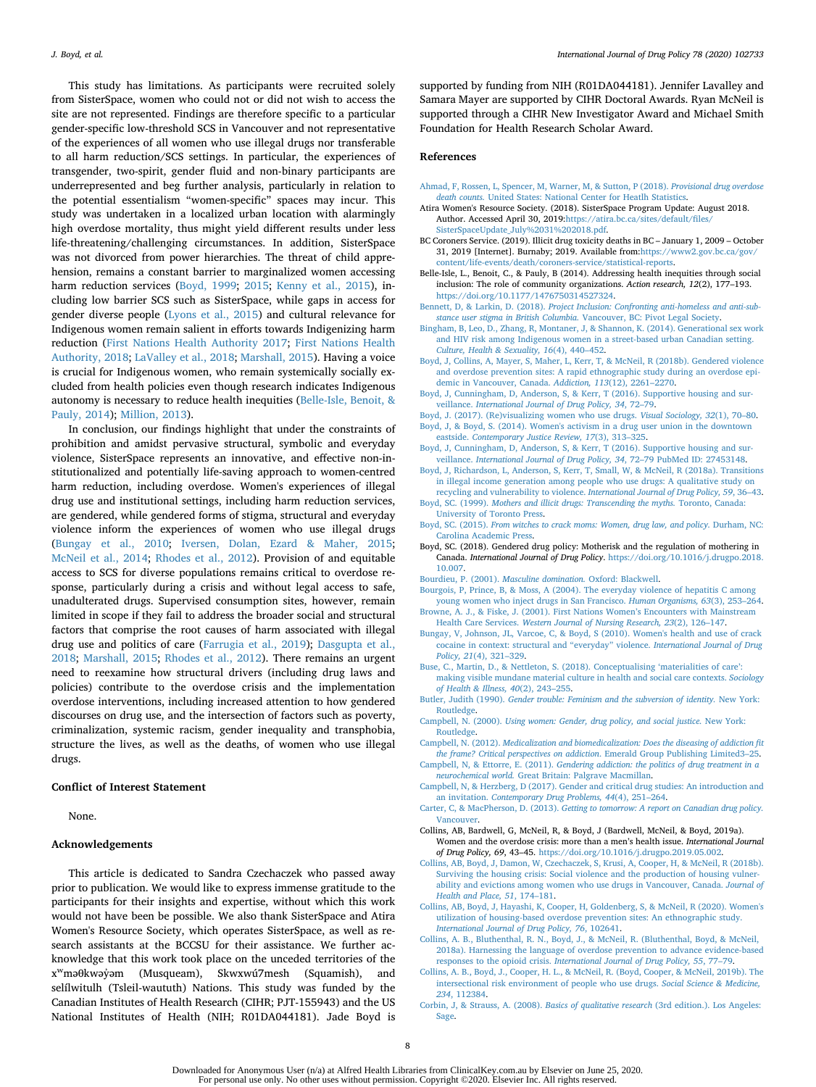This study has limitations. As participants were recruited solely from SisterSpace, women who could not or did not wish to access the site are not represented. Findings are therefore specific to a particular gender-specific low-threshold SCS in Vancouver and not representative of the experiences of all women who use illegal drugs nor transferable to all harm reduction/SCS settings. In particular, the experiences of transgender, two-spirit, gender fluid and non-binary participants are underrepresented and beg further analysis, particularly in relation to the potential essentialism "women-specific" spaces may incur. This study was undertaken in a localized urban location with alarmingly high overdose mortality, thus might yield different results under less life-threatening/challenging circumstances. In addition, SisterSpace was not divorced from power hierarchies. The threat of child apprehension, remains a constant barrier to marginalized women accessing harm reduction services [\(Boyd, 1999;](#page-7-4) [2015](#page-7-0); [Kenny et al., 2015](#page-8-60)), including low barrier SCS such as SisterSpace, while gaps in access for gender diverse people [\(Lyons et al., 2015\)](#page-8-33) and cultural relevance for Indigenous women remain salient in efforts towards Indigenizing harm reduction ([First Nations Health Authority 2017;](#page-8-36) [First Nations Health](#page-8-37) [Authority, 2018](#page-8-37); [LaValley et al., 2018](#page-8-61); [Marshall, 2015\)](#page-8-57). Having a voice is crucial for Indigenous women, who remain systemically socially excluded from health policies even though research indicates Indigenous autonomy is necessary to reduce health inequities [\(Belle-Isle, Benoit, &](#page-7-30) [Pauly, 2014](#page-7-30)); [Million, 2013](#page-8-52)).

In conclusion, our findings highlight that under the constraints of prohibition and amidst pervasive structural, symbolic and everyday violence, SisterSpace represents an innovative, and effective non-institutionalized and potentially life-saving approach to women-centred harm reduction, including overdose. Women's experiences of illegal drug use and institutional settings, including harm reduction services, are gendered, while gendered forms of stigma, structural and everyday violence inform the experiences of women who use illegal drugs ([Bungay et al., 2010](#page-7-7); [Iversen, Dolan, Ezard & Maher, 2015](#page-8-0); [McNeil et al., 2014](#page-8-62); [Rhodes et al., 2012](#page-8-12)). Provision of and equitable access to SCS for diverse populations remains critical to overdose response, particularly during a crisis and without legal access to safe, unadulterated drugs. Supervised consumption sites, however, remain limited in scope if they fail to address the broader social and structural factors that comprise the root causes of harm associated with illegal drug use and politics of care [\(Farrugia et al., 2019](#page-8-21)); [Dasgupta et al.,](#page-8-54) [2018;](#page-8-54) [Marshall, 2015](#page-8-57); [Rhodes et al., 2012\)](#page-8-12). There remains an urgent need to reexamine how structural drivers (including drug laws and policies) contribute to the overdose crisis and the implementation overdose interventions, including increased attention to how gendered discourses on drug use, and the intersection of factors such as poverty, criminalization, systemic racism, gender inequality and transphobia, structure the lives, as well as the deaths, of women who use illegal drugs.

## **Conflict of Interest Statement**

None.

## **Acknowledgements**

This article is dedicated to Sandra Czechaczek who passed away prior to publication. We would like to express immense gratitude to the participants for their insights and expertise, without which this work would not have been be possible. We also thank SisterSpace and Atira Women's Resource Society, which operates SisterSpace, as well as research assistants at the BCCSU for their assistance. We further acknowledge that this work took place on the unceded territories of the xwməθkwəyəm (Musqueam), Skwxwú7mesh (Squamish), and ̓ selílwitulh (Tsleil-waututh) Nations. This study was funded by the Canadian Institutes of Health Research (CIHR; PJT-155943) and the US National Institutes of Health (NIH; R01DA044181). Jade Boyd is

supported by funding from NIH (R01DA044181). Jennifer Lavalley and Samara Mayer are supported by CIHR Doctoral Awards. Ryan McNeil is supported through a CIHR New Investigator Award and Michael Smith Foundation for Health Research Scholar Award.

#### **References**

- <span id="page-7-12"></span>[Ahmad, F, Rossen, L, Spencer, M, Warner, M, & Sutton, P \(2018\).](http://refhub.elsevier.com/S0955-3959(20)30074-8/sbref0001) *Provisional drug overdose death counts.* [United States: National Center for Heatlh Statistics.](http://refhub.elsevier.com/S0955-3959(20)30074-8/sbref0001)
- <span id="page-7-22"></span>Atira Women's Resource Society. (2018). SisterSpace Program Update: August 2018. Author. Accessed April 30, 2019:[https://atira.bc.ca/sites/default/files/](https://atira.bc.ca/sites/default/files/SisterSpaceUpdate_July%2031%202018.pdf) [SisterSpaceUpdate\\_July%2031%202018.pdf.](https://atira.bc.ca/sites/default/files/SisterSpaceUpdate_July%2031%202018.pdf)
- <span id="page-7-13"></span>BC Coroners Service. (2019). Illicit drug toxicity deaths in BC – January 1, 2009 – October 31, 2019 [Internet]. Burnaby; 2019. Available from:[https://www2.gov.bc.ca/gov/](https://www2.gov.bc.ca/gov/content/life-events/death/coroners-service/statistical-reports) [content/life-events/death/coroners-service/statistical-reports](https://www2.gov.bc.ca/gov/content/life-events/death/coroners-service/statistical-reports).
- <span id="page-7-30"></span>Belle-Isle, L., Benoit, C., & Pauly, B (2014). Addressing health inequities through social inclusion: The role of community organizations. *Action research, 12*(2), 177–193. [https://doi.org/10.1177/1476750314527324.](https://doi.org/10.1177/1476750314527324)
- <span id="page-7-18"></span>Bennett, D, & Larkin, D. (2018). *[Project Inclusion: Confronting anti-homeless and anti-sub](http://refhub.elsevier.com/S0955-3959(20)30074-8/sbref0002)[stance user stigma in British Columbia.](http://refhub.elsevier.com/S0955-3959(20)30074-8/sbref0002)* Vancouver, BC: Pivot Legal Society.
- <span id="page-7-24"></span>[Bingham, B, Leo, D., Zhang, R, Montaner, J, & Shannon, K. \(2014\). Generational sex work](http://refhub.elsevier.com/S0955-3959(20)30074-8/sbref0003) [and HIV risk among Indigenous women in a street-based urban Canadian setting.](http://refhub.elsevier.com/S0955-3959(20)30074-8/sbref0003) *[Culture, Health & Sexuality, 16](http://refhub.elsevier.com/S0955-3959(20)30074-8/sbref0003)*(4), 440–452.
- <span id="page-7-1"></span>[Boyd, J, Collins, A, Mayer, S, Maher, L, Kerr, T, & McNeil, R \(2018b\). Gendered violence](http://refhub.elsevier.com/S0955-3959(20)30074-8/sbref0007) [and overdose prevention sites: A rapid ethnographic study during an overdose epi](http://refhub.elsevier.com/S0955-3959(20)30074-8/sbref0007)[demic in Vancouver, Canada.](http://refhub.elsevier.com/S0955-3959(20)30074-8/sbref0007) *Addiction, 113*(12), 2261–2270.
- [Boyd, J, Cunningham, D, Anderson, S, & Kerr, T \(2016\). Supportive housing and sur](http://refhub.elsevier.com/S0955-3959(20)30074-8/sbref0004)veillance. *[International Journal of Drug Policy, 34](http://refhub.elsevier.com/S0955-3959(20)30074-8/sbref0004)*, 72–79.
- <span id="page-7-20"></span><span id="page-7-19"></span>[Boyd, J. \(2017\). \(Re\)visualizing women who use drugs.](http://refhub.elsevier.com/S0955-3959(20)30074-8/sbref0005) *Visual Sociology, 32*(1), 70–80. [Boyd, J, & Boyd, S. \(2014\). Women's activism in a drug user union in the downtown](http://refhub.elsevier.com/S0955-3959(20)30074-8/sbref0006)
- <span id="page-7-25"></span>eastside. *[Contemporary Justice Review, 17](http://refhub.elsevier.com/S0955-3959(20)30074-8/sbref0006)*(3), 313–325. [Boyd, J, Cunningham, D, Anderson, S, & Kerr, T \(2016\). Supportive housing and sur](http://refhub.elsevier.com/S0955-3959(20)30074-8/sbref0008)veillance. *[International Journal of Drug Policy, 34](http://refhub.elsevier.com/S0955-3959(20)30074-8/sbref0008)*, 72–79 PubMed ID: 27453148.
- <span id="page-7-16"></span>[Boyd, J, Richardson, L, Anderson, S, Kerr, T, Small, W, & McNeil, R \(2018a\). Transitions](http://refhub.elsevier.com/S0955-3959(20)30074-8/sbref0009) [in illegal income generation among people who use drugs: A qualitative study on](http://refhub.elsevier.com/S0955-3959(20)30074-8/sbref0009) [recycling and vulnerability to violence.](http://refhub.elsevier.com/S0955-3959(20)30074-8/sbref0009) *International Journal of Drug Policy, 59*, 36–43.
- <span id="page-7-4"></span>Boyd, SC. (1999). *[Mothers and illicit drugs: Transcending the myths.](http://refhub.elsevier.com/S0955-3959(20)30074-8/sbref0010)* Toronto, Canada: [University of Toronto Press](http://refhub.elsevier.com/S0955-3959(20)30074-8/sbref0010).
- <span id="page-7-0"></span>Boyd, SC. (2015). *[From witches to crack moms: Women, drug law, and policy.](http://refhub.elsevier.com/S0955-3959(20)30074-8/sbref0011)* Durham, NC: [Carolina Academic Press.](http://refhub.elsevier.com/S0955-3959(20)30074-8/sbref0011)
- <span id="page-7-3"></span>Boyd, SC. (2018). Gendered drug policy: Motherisk and the regulation of mothering in Canada. *International Journal of Drug Policy*. [https://doi.org/10.1016/j.drugpo.2018.](https://doi.org/10.1016/j.drugpo.2018.10.007) [10.007](https://doi.org/10.1016/j.drugpo.2018.10.007).
- <span id="page-7-9"></span>Bourdieu, P. (2001). *[Masculine domination.](http://refhub.elsevier.com/S0955-3959(20)30074-8/sbref0013)* Oxford: Blackwell.
- <span id="page-7-10"></span>[Bourgois, P, Prince, B, & Moss, A \(2004\). The everyday violence of hepatitis C among](http://refhub.elsevier.com/S0955-3959(20)30074-8/sbref0014) [young women who inject drugs in San Francisco.](http://refhub.elsevier.com/S0955-3959(20)30074-8/sbref0014) *Human Organisms, 63*(3), 253–264. [Browne, A. J., & Fiske, J. \(2001\). First Nations Women's Encounters with Mainstream](http://refhub.elsevier.com/S0955-3959(20)30074-8/opt3LAGsoVAaW)
- <span id="page-7-26"></span>Health Care Services. *[Western Journal of Nursing Research, 23](http://refhub.elsevier.com/S0955-3959(20)30074-8/opt3LAGsoVAaW)*(2), 126–147.
- <span id="page-7-7"></span>[Bungay, V, Johnson, JL, Varcoe, C, & Boyd, S \(2010\). Women's health and use of crack](http://refhub.elsevier.com/S0955-3959(20)30074-8/sbref0015) [cocaine in context: structural and "everyday" violence.](http://refhub.elsevier.com/S0955-3959(20)30074-8/sbref0015) *International Journal of Drug Policy, 21*[\(4\), 321–329.](http://refhub.elsevier.com/S0955-3959(20)30074-8/sbref0015)
- <span id="page-7-28"></span>[Buse, C., Martin, D., & Nettleton, S. \(2018\). Conceptualising 'materialities of care':](http://refhub.elsevier.com/S0955-3959(20)30074-8/sbref0016) [making visible mundane material culture in health and social care contexts.](http://refhub.elsevier.com/S0955-3959(20)30074-8/sbref0016) *Sociology*
- <span id="page-7-11"></span>*[of Health & Illness, 40](http://refhub.elsevier.com/S0955-3959(20)30074-8/sbref0016)*(2), 243–255. Butler, Judith (1990). *[Gender trouble: Feminism and the subversion of identity.](http://refhub.elsevier.com/S0955-3959(20)30074-8/sbref0017)* New York: [Routledge](http://refhub.elsevier.com/S0955-3959(20)30074-8/sbref0017).
- <span id="page-7-5"></span>Campbell, N. (2000). *[Using women: Gender, drug policy, and social justice.](http://refhub.elsevier.com/S0955-3959(20)30074-8/sbref0018)* New York: **[Routledge](http://refhub.elsevier.com/S0955-3959(20)30074-8/sbref0018)**
- <span id="page-7-27"></span>Campbell, N. (2012). *[Medicalization and biomedicalization: Does the diseasing of addiction fit](http://refhub.elsevier.com/S0955-3959(20)30074-8/sbref0019) [the frame? Critical perspectives on addiction](http://refhub.elsevier.com/S0955-3959(20)30074-8/sbref0019)*. Emerald Group Publishing Limited3–25.
- <span id="page-7-8"></span>Campbell, N, & Ettorre, E. (2011). *[Gendering addiction: the politics of drug treatment in a](http://refhub.elsevier.com/S0955-3959(20)30074-8/sbref0020) neurochemical world.* [Great Britain: Palgrave Macmillan](http://refhub.elsevier.com/S0955-3959(20)30074-8/sbref0020).
- <span id="page-7-6"></span>[Campbell, N, & Herzberg, D \(2017\). Gender and critical drug studies: An introduction and](http://refhub.elsevier.com/S0955-3959(20)30074-8/sbref0021) an invitation. *[Contemporary Drug Problems, 44](http://refhub.elsevier.com/S0955-3959(20)30074-8/sbref0021)*(4), 251–264.
- <span id="page-7-29"></span>Carter, C, & MacPherson, D. (2013). *[Getting to tomorrow: A report on Canadian drug policy.](http://refhub.elsevier.com/S0955-3959(20)30074-8/sbref0022)* [Vancouver.](http://refhub.elsevier.com/S0955-3959(20)30074-8/sbref0022)
- <span id="page-7-15"></span>Collins, AB, Bardwell, G, McNeil, R, & Boyd, J (Bardwell, McNeil, & Boyd, 2019a). Women and the overdose crisis: more than a men's health issue. *International Journal of Drug Policy, 69*, 43–45. [https://doi.org/10.1016/j.drugpo.2019.05.002.](https://doi.org/10.1016/j.drugpo.2019.05.002)
- <span id="page-7-17"></span>[Collins, AB, Boyd, J, Damon, W, Czechaczek, S, Krusi, A, Cooper, H, & McNeil, R \(2018b\).](http://refhub.elsevier.com/S0955-3959(20)30074-8/sbref0025) [Surviving the housing crisis: Social violence and the production of housing vulner](http://refhub.elsevier.com/S0955-3959(20)30074-8/sbref0025)[ability and evictions among women who use drugs in Vancouver, Canada.](http://refhub.elsevier.com/S0955-3959(20)30074-8/sbref0025) *Journal of [Health and Place, 51](http://refhub.elsevier.com/S0955-3959(20)30074-8/sbref0025)*, 174–181.
- <span id="page-7-23"></span>[Collins, AB, Boyd, J, Hayashi, K, Cooper, H, Goldenberg, S, & McNeil, R \(2020\). Women's](http://refhub.elsevier.com/S0955-3959(20)30074-8/sbref0027) [utilization of housing-based overdose prevention sites: An ethnographic study.](http://refhub.elsevier.com/S0955-3959(20)30074-8/sbref0027) *[International Journal of Drug Policy, 76](http://refhub.elsevier.com/S0955-3959(20)30074-8/sbref0027)*, 102641.
- <span id="page-7-14"></span>[Collins, A. B., Bluthenthal, R. N., Boyd, J., & McNeil, R. \(Bluthenthal, Boyd, & McNeil,](http://refhub.elsevier.com/S0955-3959(20)30074-8/sbref0024) [2018a\). Harnessing the language of overdose prevention to advance evidence-based](http://refhub.elsevier.com/S0955-3959(20)30074-8/sbref0024) responses to the opioid crisis. *[International Journal of Drug Policy, 55](http://refhub.elsevier.com/S0955-3959(20)30074-8/sbref0024)*, 77–79.
- <span id="page-7-2"></span>[Collins, A. B., Boyd, J., Cooper, H. L., & McNeil, R. \(Boyd, Cooper, & McNeil, 2019b\). The](http://refhub.elsevier.com/S0955-3959(20)30074-8/sbref0026) [intersectional risk environment of people who use drugs.](http://refhub.elsevier.com/S0955-3959(20)30074-8/sbref0026) *Social Science & Medicine, 234*[, 112384.](http://refhub.elsevier.com/S0955-3959(20)30074-8/sbref0026)
- <span id="page-7-21"></span>[Corbin, J, & Strauss, A. \(2008\).](http://refhub.elsevier.com/S0955-3959(20)30074-8/sbref0029) *Basics of qualitative research* (3rd edition.). Los Angeles: [Sage.](http://refhub.elsevier.com/S0955-3959(20)30074-8/sbref0029)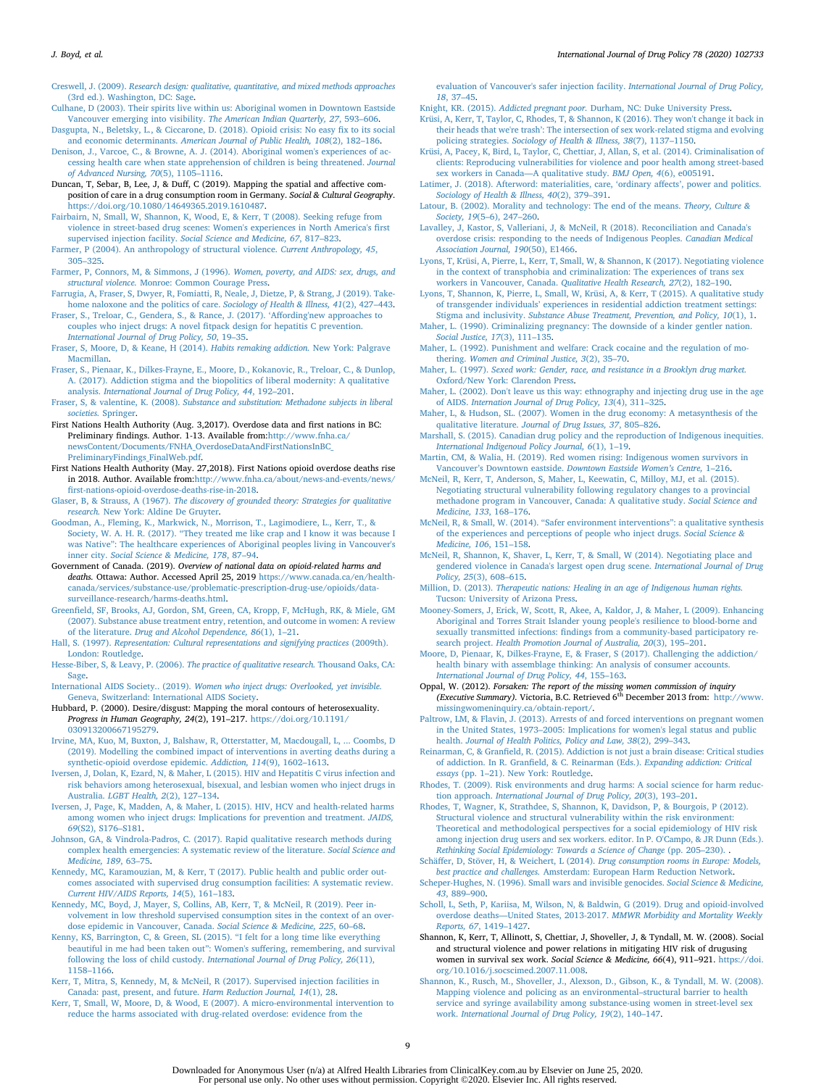<span id="page-8-46"></span>Creswell, J. (2009). *[Research design: qualitative, quantitative, and mixed methods approaches](http://refhub.elsevier.com/S0955-3959(20)30074-8/sbref0030)* [\(3rd ed.\). Washington, DC: Sage](http://refhub.elsevier.com/S0955-3959(20)30074-8/sbref0030).

- <span id="page-8-39"></span>[Culhane, D \(2003\). Their spirits live within us: Aboriginal women in Downtown Eastside](http://refhub.elsevier.com/S0955-3959(20)30074-8/optQCptdvUPKL) [Vancouver emerging into visibility.](http://refhub.elsevier.com/S0955-3959(20)30074-8/optQCptdvUPKL) *The American Indian Quarterly, 27*, 593–606.
- <span id="page-8-54"></span>[Dasgupta, N., Beletsky, L., & Ciccarone, D. \(2018\). Opioid crisis: No easy fix to its social](http://refhub.elsevier.com/S0955-3959(20)30074-8/sbref0031) and economic determinants. *[American Journal of Public Health, 108](http://refhub.elsevier.com/S0955-3959(20)30074-8/sbref0031)*(2), 182–186.
- <span id="page-8-53"></span>[Denison, J., Varcoe, C., & Browne, A. J. \(2014\). Aboriginal women's experiences of ac](http://refhub.elsevier.com/S0955-3959(20)30074-8/sbref0032)[cessing health care when state apprehension of children is being threatened.](http://refhub.elsevier.com/S0955-3959(20)30074-8/sbref0032) *Journal [of Advanced Nursing, 70](http://refhub.elsevier.com/S0955-3959(20)30074-8/sbref0032)*(5), 1105–1116.
- <span id="page-8-16"></span>Duncan, T, Sebar, B, Lee, J, & Duff, C (2019). Mapping the spatial and affective composition of care in a drug consumption room in Germany. *Social & Cultural Geography*. <https://doi.org/10.1080/14649365.2019.1610487>.
- <span id="page-8-32"></span>[Fairbairn, N, Small, W, Shannon, K, Wood, E, & Kerr, T \(2008\). Seeking refuge from](http://refhub.elsevier.com/S0955-3959(20)30074-8/sbref0034) [violence in street-based drug scenes: Women's experiences in North America's first](http://refhub.elsevier.com/S0955-3959(20)30074-8/sbref0034) supervised injection facility. *[Social Science and Medicine, 67](http://refhub.elsevier.com/S0955-3959(20)30074-8/sbref0034)*, 817–823.
- <span id="page-8-10"></span>[Farmer, P \(2004\). An anthropology of structural violence.](http://refhub.elsevier.com/S0955-3959(20)30074-8/sbref0035) *Current Anthropology, 45*, [305–325](http://refhub.elsevier.com/S0955-3959(20)30074-8/sbref0035).
- <span id="page-8-11"></span>[Farmer, P, Connors, M, & Simmons, J \(1996\).](http://refhub.elsevier.com/S0955-3959(20)30074-8/sbref0036) *Women, poverty, and AIDS: sex, drugs, and structural violence.* [Monroe: Common Courage Press](http://refhub.elsevier.com/S0955-3959(20)30074-8/sbref0036).
- <span id="page-8-21"></span>[Farrugia, A, Fraser, S, Dwyer, R, Fomiatti, R, Neale, J, Dietze, P, & Strang, J \(2019\). Take](http://refhub.elsevier.com/S0955-3959(20)30074-8/sbref0037)[home naloxone and the politics of care.](http://refhub.elsevier.com/S0955-3959(20)30074-8/sbref0037) *Sociology of Health & Illness, 41*(2), 427–443.
- <span id="page-8-25"></span>[Fraser, S., Treloar, C., Gendera, S., & Rance, J. \(2017\). 'Affording'new approaches to](http://refhub.elsevier.com/S0955-3959(20)30074-8/sbref0039) [couples who inject drugs: A novel fitpack design for hepatitis C prevention.](http://refhub.elsevier.com/S0955-3959(20)30074-8/sbref0039) *[International Journal of Drug Policy, 50](http://refhub.elsevier.com/S0955-3959(20)30074-8/sbref0039)*, 19–35.
- <span id="page-8-59"></span>[Fraser, S, Moore, D, & Keane, H \(2014\).](http://refhub.elsevier.com/S0955-3959(20)30074-8/sbref0040) *Habits remaking addiction.* New York: Palgrave [Macmillan](http://refhub.elsevier.com/S0955-3959(20)30074-8/sbref0040).
- <span id="page-8-9"></span>[Fraser, S., Pienaar, K., Dilkes-Frayne, E., Moore, D., Kokanovic, R., Treloar, C., & Dunlop,](http://refhub.elsevier.com/S0955-3959(20)30074-8/sbref0041) [A. \(2017\). Addiction stigma and the biopolitics of liberal modernity: A qualitative](http://refhub.elsevier.com/S0955-3959(20)30074-8/sbref0041) analysis. *[International Journal of Drug Policy, 44](http://refhub.elsevier.com/S0955-3959(20)30074-8/sbref0041)*, 192–201.
- <span id="page-8-3"></span>Fraser, S, & valentine, K. (2008). *[Substance and substitution: Methadone subjects in liberal](http://refhub.elsevier.com/S0955-3959(20)30074-8/sbref0042) societies.* [Springer.](http://refhub.elsevier.com/S0955-3959(20)30074-8/sbref0042)
- <span id="page-8-36"></span>First Nations Health Authority (Aug. 3,2017). Overdose data and first nations in BC: Preliminary findings. Author. 1-13. Available from:[http://www.fnha.ca/](http://www.fnha.ca/newsContent/Documents/FNHA_OverdoseDataAndFirstNationsInBC_PreliminaryFindings_FinalWeb.pdf) [newsContent/Documents/FNHA\\_OverdoseDataAndFirstNationsInBC\\_](http://www.fnha.ca/newsContent/Documents/FNHA_OverdoseDataAndFirstNationsInBC_PreliminaryFindings_FinalWeb.pdf) [PreliminaryFindings\\_FinalWeb.pdf.](http://www.fnha.ca/newsContent/Documents/FNHA_OverdoseDataAndFirstNationsInBC_PreliminaryFindings_FinalWeb.pdf)
- <span id="page-8-37"></span>First Nations Health Authority (May. 27,2018). First Nations opioid overdose deaths rise in 2018. Author. Available from[:http://www.fnha.ca/about/news-and-events/news/](http://www.fnha.ca/about/news-and-events/news/first-nations-opioid-overdose-deaths-rise-in-2018) [first-nations-opioid-overdose-deaths-rise-in-2018](http://www.fnha.ca/about/news-and-events/news/first-nations-opioid-overdose-deaths-rise-in-2018).
- <span id="page-8-48"></span>Glaser, B, & Strauss, A (1967). *[The discovery of grounded theory: Strategies for qualitative](http://refhub.elsevier.com/S0955-3959(20)30074-8/sbref0044) research.* [New York: Aldine De Gruyter.](http://refhub.elsevier.com/S0955-3959(20)30074-8/sbref0044)
- <span id="page-8-49"></span>[Goodman, A., Fleming, K., Markwick, N., Morrison, T., Lagimodiere, L., Kerr, T., &](http://refhub.elsevier.com/S0955-3959(20)30074-8/sbref0045) [Society, W. A. H. R. \(2017\). "They treated me like crap and I know it was because I](http://refhub.elsevier.com/S0955-3959(20)30074-8/sbref0045) [was Native": The healthcare experiences of Aboriginal peoples living in Vancouver's](http://refhub.elsevier.com/S0955-3959(20)30074-8/sbref0045) inner city. *[Social Science & Medicine, 178](http://refhub.elsevier.com/S0955-3959(20)30074-8/sbref0045)*, 87–94.
- <span id="page-8-26"></span>Government of Canada. (2019). *Overview of national data on opioid-related harms and deaths.* Ottawa: Author. Accessed April 25, 2019 [https://www.canada.ca/en/health](https://www.canada.ca/en/health-canada/services/substance-use/problematic-prescription-drug-use/opioids/data-surveillance-research/harms-deaths.html)[canada/services/substance-use/problematic-prescription-drug-use/opioids/data](https://www.canada.ca/en/health-canada/services/substance-use/problematic-prescription-drug-use/opioids/data-surveillance-research/harms-deaths.html)[surveillance-research/harms-deaths.html.](https://www.canada.ca/en/health-canada/services/substance-use/problematic-prescription-drug-use/opioids/data-surveillance-research/harms-deaths.html)
- <span id="page-8-51"></span>[Greenfield, SF, Brooks, AJ, Gordon, SM, Green, CA, Kropp, F, McHugh, RK, & Miele, GM](http://refhub.elsevier.com/S0955-3959(20)30074-8/sbref0048) [\(2007\). Substance abuse treatment entry, retention, and outcome in women: A review](http://refhub.elsevier.com/S0955-3959(20)30074-8/sbref0048) of the literature. *[Drug and Alcohol Dependence, 86](http://refhub.elsevier.com/S0955-3959(20)30074-8/sbref0048)*(1), 1–21.
- <span id="page-8-8"></span>Hall, S. (1997). *[Representation: Cultural representations and signifying practices](http://refhub.elsevier.com/S0955-3959(20)30074-8/optaIRpB3S6HE)* (2009th). [London: Routledge](http://refhub.elsevier.com/S0955-3959(20)30074-8/optaIRpB3S6HE).
- <span id="page-8-44"></span>[Hesse-Biber, S, & Leavy, P. \(2006\).](http://refhub.elsevier.com/S0955-3959(20)30074-8/sbref0050) *The practice of qualitative research.* Thousand Oaks, CA: [Sage.](http://refhub.elsevier.com/S0955-3959(20)30074-8/sbref0050)
- <span id="page-8-35"></span>International AIDS Society.. (2019). *[Women who inject drugs: Overlooked, yet invisible.](http://refhub.elsevier.com/S0955-3959(20)30074-8/sbref0051)* [Geneva, Switzerland: International AIDS Society](http://refhub.elsevier.com/S0955-3959(20)30074-8/sbref0051).
- <span id="page-8-22"></span>Hubbard, P. (2000). Desire/disgust: Mapping the moral contours of heterosexuality. *Progress in Human Geography, 24*(2), 191–217. [https://doi.org/10.1191/](https://doi.org/10.1191/030913200667195279) [030913200667195279](https://doi.org/10.1191/030913200667195279).
- <span id="page-8-30"></span>[Irvine, MA, Kuo, M, Buxton, J, Balshaw, R, Otterstatter, M, Macdougall, L, ... Coombs, D](http://refhub.elsevier.com/S0955-3959(20)30074-8/sbref0052) [\(2019\). Modelling the combined impact of interventions in averting deaths during a](http://refhub.elsevier.com/S0955-3959(20)30074-8/sbref0052) [synthetic-opioid overdose epidemic.](http://refhub.elsevier.com/S0955-3959(20)30074-8/sbref0052) *Addiction, 114*(9), 1602–1613.
- <span id="page-8-0"></span>[Iversen, J, Dolan, K, Ezard, N, & Maher, L \(2015\). HIV and Hepatitis C virus infection and](http://refhub.elsevier.com/S0955-3959(20)30074-8/sbref0053) [risk behaviors among heterosexual, bisexual, and lesbian women who inject drugs in](http://refhub.elsevier.com/S0955-3959(20)30074-8/sbref0053) Australia. *[LGBT Health, 2](http://refhub.elsevier.com/S0955-3959(20)30074-8/sbref0053)*(2), 127–134.
- <span id="page-8-1"></span>[Iversen, J, Page, K, Madden, A, & Maher, L \(2015\). HIV, HCV and health-related harms](http://refhub.elsevier.com/S0955-3959(20)30074-8/sbref0054) [among women who inject drugs: Implications for prevention and treatment.](http://refhub.elsevier.com/S0955-3959(20)30074-8/sbref0054) *JAIDS, 69*[\(S2\), S176–S181.](http://refhub.elsevier.com/S0955-3959(20)30074-8/sbref0054)
- <span id="page-8-47"></span>[Johnson, GA, & Vindrola-Padros, C. \(2017\). Rapid qualitative research methods during](http://refhub.elsevier.com/S0955-3959(20)30074-8/sbref0056) [complex health emergencies: A systematic review of the literature.](http://refhub.elsevier.com/S0955-3959(20)30074-8/sbref0056) *Social Science and [Medicine, 189](http://refhub.elsevier.com/S0955-3959(20)30074-8/sbref0056)*, 63–75.
- <span id="page-8-31"></span>[Kennedy, MC, Karamouzian, M, & Kerr, T \(2017\). Public health and public order out](http://refhub.elsevier.com/S0955-3959(20)30074-8/sbref0057)[comes associated with supervised drug consumption facilities: A systematic review.](http://refhub.elsevier.com/S0955-3959(20)30074-8/sbref0057) *[Current HIV/AIDS Reports, 14](http://refhub.elsevier.com/S0955-3959(20)30074-8/sbref0057)*(5), 161–183.
- <span id="page-8-29"></span>[Kennedy, MC, Boyd, J, Mayer, S, Collins, AB, Kerr, T, & McNeil, R \(2019\). Peer in](http://refhub.elsevier.com/S0955-3959(20)30074-8/sbref0058)[volvement in low threshold supervised consumption sites in the context of an over](http://refhub.elsevier.com/S0955-3959(20)30074-8/sbref0058)[dose epidemic in Vancouver, Canada.](http://refhub.elsevier.com/S0955-3959(20)30074-8/sbref0058) *Social Science & Medicine, 225*, 60–68.
- <span id="page-8-60"></span>[Kenny, KS, Barrington, C, & Green, SL \(2015\). "I felt for a long time like everything](http://refhub.elsevier.com/S0955-3959(20)30074-8/sbref0059) [beautiful in me had been taken out": Women's suffering, remembering, and survival](http://refhub.elsevier.com/S0955-3959(20)30074-8/sbref0059) following the loss of child custody. *[International Journal of Drug Policy, 26](http://refhub.elsevier.com/S0955-3959(20)30074-8/sbref0059)*(11), [1158–1166](http://refhub.elsevier.com/S0955-3959(20)30074-8/sbref0059).

<span id="page-8-28"></span>[Kerr, T, Mitra, S, Kennedy, M, & McNeil, R \(2017\). Supervised injection facilities in](http://refhub.elsevier.com/S0955-3959(20)30074-8/sbref0060) [Canada: past, present, and future.](http://refhub.elsevier.com/S0955-3959(20)30074-8/sbref0060) *Harm Reduction Journal, 14*(1), 28.

<span id="page-8-17"></span>[Kerr, T, Small, W, Moore, D, & Wood, E \(2007\). A micro-environmental intervention to](http://refhub.elsevier.com/S0955-3959(20)30074-8/sbref0061) [reduce the harms associated with drug-related overdose: evidence from the](http://refhub.elsevier.com/S0955-3959(20)30074-8/sbref0061)

[evaluation of Vancouver's safer injection facility.](http://refhub.elsevier.com/S0955-3959(20)30074-8/sbref0061) *International Journal of Drug Policy, 18*[, 37–45](http://refhub.elsevier.com/S0955-3959(20)30074-8/sbref0061).

<span id="page-8-4"></span>Knight, KR. (2015). *Addicted pregnant poor.* [Durham, NC: Duke University Press.](http://refhub.elsevier.com/S0955-3959(20)30074-8/sbref0062)

- <span id="page-8-41"></span>[Krüsi, A, Kerr, T, Taylor, C, Rhodes, T, & Shannon, K \(2016\). They won't change it back in](http://refhub.elsevier.com/S0955-3959(20)30074-8/sbref0063) [their heads that we're trash': The intersection of sex work-related stigma and evolving](http://refhub.elsevier.com/S0955-3959(20)30074-8/sbref0063) policing strategies. *[Sociology of Health & Illness, 38](http://refhub.elsevier.com/S0955-3959(20)30074-8/sbref0063)*(7), 1137–1150.
- <span id="page-8-40"></span>[Krüsi, A, Pacey, K, Bird, L, Taylor, C, Chettiar, J, Allan, S, et al. \(2014\). Criminalisation of](http://refhub.elsevier.com/S0955-3959(20)30074-8/sbref0064) [clients: Reproducing vulnerabilities for violence and poor health among street-based](http://refhub.elsevier.com/S0955-3959(20)30074-8/sbref0064) [sex workers in Canada—A qualitative study.](http://refhub.elsevier.com/S0955-3959(20)30074-8/sbref0064) *BMJ Open, 4*(6), e005191.
- <span id="page-8-56"></span>[Latimer, J. \(2018\). Afterword: materialities, care, 'ordinary affects', power and politics.](http://refhub.elsevier.com/S0955-3959(20)30074-8/sbref0065) *[Sociology of Health & Illness, 40](http://refhub.elsevier.com/S0955-3959(20)30074-8/sbref0065)*(2), 379–391.
- <span id="page-8-24"></span>[Latour, B. \(2002\). Morality and technology: The end of the means.](http://refhub.elsevier.com/S0955-3959(20)30074-8/sbref0066) *Theory, Culture & Society, 19*[\(5–6\), 247–260](http://refhub.elsevier.com/S0955-3959(20)30074-8/sbref0066).
- <span id="page-8-61"></span>[Lavalley, J, Kastor, S, Valleriani, J, & McNeil, R \(2018\). Reconciliation and Canada's](http://refhub.elsevier.com/S0955-3959(20)30074-8/sbref0067) [overdose crisis: responding to the needs of Indigenous Peoples.](http://refhub.elsevier.com/S0955-3959(20)30074-8/sbref0067) *Canadian Medical [Association Journal, 190](http://refhub.elsevier.com/S0955-3959(20)30074-8/sbref0067)*(50), E1466.
- <span id="page-8-42"></span>[Lyons, T, Krüsi, A, Pierre, L, Kerr, T, Small, W, & Shannon, K \(2017\). Negotiating violence](http://refhub.elsevier.com/S0955-3959(20)30074-8/sbref0068) [in the context of transphobia and criminalization: The experiences of trans sex](http://refhub.elsevier.com/S0955-3959(20)30074-8/sbref0068) [workers in Vancouver, Canada.](http://refhub.elsevier.com/S0955-3959(20)30074-8/sbref0068) *Qualitative Health Research, 27*(2), 182–190.
- <span id="page-8-33"></span>[Lyons, T, Shannon, K, Pierre, L, Small, W, Krüsi, A, & Kerr, T \(2015\). A qualitative study](http://refhub.elsevier.com/S0955-3959(20)30074-8/sbref0069) [of transgender individuals' experiences in residential addiction treatment settings:](http://refhub.elsevier.com/S0955-3959(20)30074-8/sbref0069) Stigma and inclusivity. *[Substance Abuse Treatment, Prevention, and Policy, 10](http://refhub.elsevier.com/S0955-3959(20)30074-8/sbref0069)*(1), 1.
- <span id="page-8-5"></span>[Maher, L. \(1990\). Criminalizing pregnancy: The downside of a kinder gentler nation.](http://refhub.elsevier.com/S0955-3959(20)30074-8/sbref0070) *[Social Justice, 17](http://refhub.elsevier.com/S0955-3959(20)30074-8/sbref0070)*(3), 111–135.
- <span id="page-8-6"></span>[Maher, L. \(1992\). Punishment and welfare: Crack cocaine and the regulation of mo](http://refhub.elsevier.com/S0955-3959(20)30074-8/sbref0071)thering. *[Women and Criminal Justice, 3](http://refhub.elsevier.com/S0955-3959(20)30074-8/sbref0071)*(2), 35–70.
- <span id="page-8-34"></span>Maher, L. (1997). *[Sexed work: Gender, race, and resistance in a Brooklyn drug market.](http://refhub.elsevier.com/S0955-3959(20)30074-8/sbref0072)* [Oxford/New York: Clarendon Press.](http://refhub.elsevier.com/S0955-3959(20)30074-8/sbref0072)
- <span id="page-8-45"></span>[Maher, L. \(2002\). Don't leave us this way: ethnography and injecting drug use in the age](http://refhub.elsevier.com/S0955-3959(20)30074-8/sbref0073) of AIDS. *[Internation Journal of Drug Policy, 13](http://refhub.elsevier.com/S0955-3959(20)30074-8/sbref0073)*(4), 311–325.
- <span id="page-8-2"></span>[Maher, L, & Hudson, SL. \(2007\). Women in the drug economy: A metasynthesis of the](http://refhub.elsevier.com/S0955-3959(20)30074-8/sbref0074) qualitative literature. *[Journal of Drug Issues, 37](http://refhub.elsevier.com/S0955-3959(20)30074-8/sbref0074)*, 805–826.
- <span id="page-8-57"></span>[Marshall, S. \(2015\). Canadian drug policy and the reproduction of Indigenous inequities.](http://refhub.elsevier.com/S0955-3959(20)30074-8/sbref0075) *[International Indigenoud Policy Journal, 6](http://refhub.elsevier.com/S0955-3959(20)30074-8/sbref0075)*(1), 1–19.
- <span id="page-8-50"></span>[Martin, CM, & Walia, H. \(2019\). Red women rising: Indigenous women survivors in](http://refhub.elsevier.com/S0955-3959(20)30074-8/sbref0076) Vancouver's Downtown eastside. *[Downtown Eastside Women's Centre,](http://refhub.elsevier.com/S0955-3959(20)30074-8/sbref0076)* 1–216.
- <span id="page-8-18"></span>[McNeil, R, Kerr, T, Anderson, S, Maher, L, Keewatin, C, Milloy, MJ, et al. \(2015\).](http://refhub.elsevier.com/S0955-3959(20)30074-8/sbref0077) [Negotiating structural vulnerability following regulatory changes to a provincial](http://refhub.elsevier.com/S0955-3959(20)30074-8/sbref0077) [methadone program in Vancouver, Canada: A qualitative study.](http://refhub.elsevier.com/S0955-3959(20)30074-8/sbref0077) *Social Science and [Medicine, 133](http://refhub.elsevier.com/S0955-3959(20)30074-8/sbref0077)*, 168–176.
- <span id="page-8-19"></span>[McNeil, R, & Small, W. \(2014\). "Safer environment interventions": a qualitative synthesis](http://refhub.elsevier.com/S0955-3959(20)30074-8/sbref0078) [of the experiences and perceptions of people who inject drugs.](http://refhub.elsevier.com/S0955-3959(20)30074-8/sbref0078) *Social Science & [Medicine, 106](http://refhub.elsevier.com/S0955-3959(20)30074-8/sbref0078)*, 151–158.
- <span id="page-8-62"></span>[McNeil, R, Shannon, K, Shaver, L, Kerr, T, & Small, W \(2014\). Negotiating place and](http://refhub.elsevier.com/S0955-3959(20)30074-8/sbref0079) [gendered violence in Canada's largest open drug scene.](http://refhub.elsevier.com/S0955-3959(20)30074-8/sbref0079) *International Journal of Drug Policy, 25*[\(3\), 608–615.](http://refhub.elsevier.com/S0955-3959(20)30074-8/sbref0079)
- <span id="page-8-52"></span>Million, D. (2013). *[Therapeutic nations: Healing in an age of Indigenous human rights.](http://refhub.elsevier.com/S0955-3959(20)30074-8/sbref0080)* [Tucson: University of Arizona Press.](http://refhub.elsevier.com/S0955-3959(20)30074-8/sbref0080)
- <span id="page-8-58"></span>[Mooney-Somers, J, Erick, W, Scott, R, Akee, A, Kaldor, J, & Maher, L \(2009\). Enhancing](http://refhub.elsevier.com/S0955-3959(20)30074-8/sbref0081) [Aboriginal and Torres Strait Islander young people's resilience to blood-borne and](http://refhub.elsevier.com/S0955-3959(20)30074-8/sbref0081) [sexually transmitted infections: findings from a community-based participatory re](http://refhub.elsevier.com/S0955-3959(20)30074-8/sbref0081)search project. *[Health Promotion Journal of Australia, 20](http://refhub.elsevier.com/S0955-3959(20)30074-8/sbref0081)*(3), 195–201.
- <span id="page-8-23"></span>[Moore, D, Pienaar, K, Dilkes-Frayne, E, & Fraser, S \(2017\). Challenging the addiction/](http://refhub.elsevier.com/S0955-3959(20)30074-8/sbref0082) [health binary with assemblage thinking: An analysis of consumer accounts.](http://refhub.elsevier.com/S0955-3959(20)30074-8/sbref0082) *[International Journal of Drug Policy, 44](http://refhub.elsevier.com/S0955-3959(20)30074-8/sbref0082)*, 155–163.
- <span id="page-8-43"></span>Oppal, W. (2012). *Forsaken: The report of the missing women commission of inquiry (Executive Summary).* Victoria, B.C. Retrieved 6<sup>th</sup> December 2013 from: [http://www.](http://www.missingwomeninquiry.ca/obtain-report/) [missingwomeninquiry.ca/obtain-report/.](http://www.missingwomeninquiry.ca/obtain-report/)
- <span id="page-8-7"></span>[Paltrow, LM, & Flavin, J. \(2013\). Arrests of and forced interventions on pregnant women](http://refhub.elsevier.com/S0955-3959(20)30074-8/sbref0084) [in the United States, 1973–2005: Implications for women's legal status and public](http://refhub.elsevier.com/S0955-3959(20)30074-8/sbref0084) health. *[Journal of Health Politics, Policy and Law, 38](http://refhub.elsevier.com/S0955-3959(20)30074-8/sbref0084)*(2), 299–343.
- <span id="page-8-55"></span>[Reinarman, C, & Granfield, R. \(2015\). Addiction is not just a brain disease: Critical studies](http://refhub.elsevier.com/S0955-3959(20)30074-8/sbref0086) [of addiction. In R. Granfield, & C. Reinarman \(Eds.\).](http://refhub.elsevier.com/S0955-3959(20)30074-8/sbref0086) *Expanding addiction: Critical essays* [\(pp. 1–21\). New York: Routledge](http://refhub.elsevier.com/S0955-3959(20)30074-8/sbref0086).
- <span id="page-8-20"></span>[Rhodes, T. \(2009\). Risk environments and drug harms: A social science for harm reduc](http://refhub.elsevier.com/S0955-3959(20)30074-8/sbref0087)tion approach. *[International Journal of Drug Policy, 20](http://refhub.elsevier.com/S0955-3959(20)30074-8/sbref0087)*(3), 193–201.
- <span id="page-8-12"></span>[Rhodes, T, Wagner, K, Strathdee, S, Shannon, K, Davidson, P, & Bourgois, P \(2012\).](http://refhub.elsevier.com/S0955-3959(20)30074-8/sbref0088) [Structural violence and structural vulnerability within the risk environment:](http://refhub.elsevier.com/S0955-3959(20)30074-8/sbref0088) [Theoretical and methodological perspectives for a social epidemiology of HIV risk](http://refhub.elsevier.com/S0955-3959(20)30074-8/sbref0088) [among injection drug users and sex workers. editor. In P. O'Campo, & JR Dunn \(Eds.\).](http://refhub.elsevier.com/S0955-3959(20)30074-8/sbref0088) *[Rethinking Social Epidemiology: Towards a Science of Change](http://refhub.elsevier.com/S0955-3959(20)30074-8/sbref0088)* (pp. 205–230). .
- <span id="page-8-38"></span>[Schäffer, D, Stöver, H, & Weichert, L \(2014\).](http://refhub.elsevier.com/S0955-3959(20)30074-8/sbref0089) *Drug consumption rooms in Europe: Models, best practice and challenges.* [Amsterdam: European Harm Reduction Network.](http://refhub.elsevier.com/S0955-3959(20)30074-8/sbref0089)
- <span id="page-8-13"></span>[Scheper-Hughes, N. \(1996\). Small wars and invisible genocides.](http://refhub.elsevier.com/S0955-3959(20)30074-8/sbref0090) *Social Science & Medicine, 43*[, 889–900](http://refhub.elsevier.com/S0955-3959(20)30074-8/sbref0090).
- <span id="page-8-27"></span>[Scholl, L, Seth, P, Kariisa, M, Wilson, N, & Baldwin, G \(2019\). Drug and opioid-involved](http://refhub.elsevier.com/S0955-3959(20)30074-8/sbref0091) [overdose deaths—United States, 2013-2017.](http://refhub.elsevier.com/S0955-3959(20)30074-8/sbref0091) *MMWR Morbidity and Mortality Weekly Reports, 67*[, 1419–1427](http://refhub.elsevier.com/S0955-3959(20)30074-8/sbref0091).
- <span id="page-8-14"></span>Shannon, K, Kerr, T, Allinott, S, Chettiar, J, Shoveller, J, & Tyndall, M. W. (2008). Social and structural violence and power relations in mitigating HIV risk of drugusing women in survival sex work. *Social Science & Medicine, 66*(4), 911–921. [https://doi.](https://doi.org/10.1016/j.socscimed.2007.11.008) [org/10.1016/j.socscimed.2007.11.008](https://doi.org/10.1016/j.socscimed.2007.11.008).

<span id="page-8-15"></span>[Shannon, K., Rusch, M., Shoveller, J., Alexson, D., Gibson, K., & Tyndall, M. W. \(2008\).](http://refhub.elsevier.com/S0955-3959(20)30074-8/sbref0092) [Mapping violence and policing as an environmental–structural barrier to health](http://refhub.elsevier.com/S0955-3959(20)30074-8/sbref0092) [service and syringe availability among substance-using women in street-level sex](http://refhub.elsevier.com/S0955-3959(20)30074-8/sbref0092) work. *[International Journal of Drug Policy, 19](http://refhub.elsevier.com/S0955-3959(20)30074-8/sbref0092)*(2), 140–147.